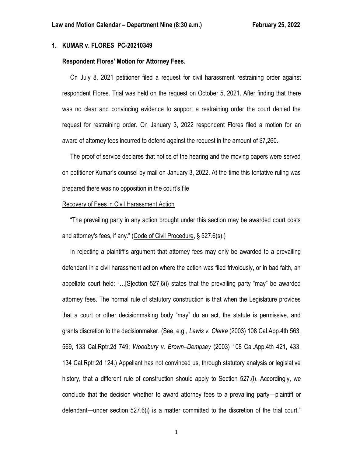## **1. KUMAR v. FLORES PC-20210349**

## **Respondent Flores' Motion for Attorney Fees.**

 On July 8, 2021 petitioner filed a request for civil harassment restraining order against respondent Flores. Trial was held on the request on October 5, 2021. After finding that there was no clear and convincing evidence to support a restraining order the court denied the request for restraining order. On January 3, 2022 respondent Flores filed a motion for an award of attorney fees incurred to defend against the request in the amount of \$7,260.

 The proof of service declares that notice of the hearing and the moving papers were served on petitioner Kumar's counsel by mail on January 3, 2022. At the time this tentative ruling was prepared there was no opposition in the court's file

### Recovery of Fees in Civil Harassment Action

 "The prevailing party in any action brought under this section may be awarded court costs and attorney's fees, if any." (Code of Civil Procedure, § 527.6(s).)

 In rejecting a plaintiff's argument that attorney fees may only be awarded to a prevailing defendant in a civil harassment action where the action was filed frivolously, or in bad faith, an appellate court held: "…[S]ection 527.6(i) states that the prevailing party "may" be awarded attorney fees. The normal rule of statutory construction is that when the Legislature provides that a court or other decisionmaking body "may" do an act, the statute is permissive, and grants discretion to the decisionmaker. (See, e.g., *Lewis v. Clarke* (2003) 108 Cal.App.4th 563, 569, 133 Cal.Rptr.2d 749; *Woodbury v. Brown–Dempsey* (2003) 108 Cal.App.4th 421, 433, 134 Cal.Rptr.2d 124.) Appellant has not convinced us, through statutory analysis or legislative history, that a different rule of construction should apply to Section 527.(i). Accordingly, we conclude that the decision whether to award attorney fees to a prevailing party—plaintiff or defendant—under section 527.6(i) is a matter committed to the discretion of the trial court."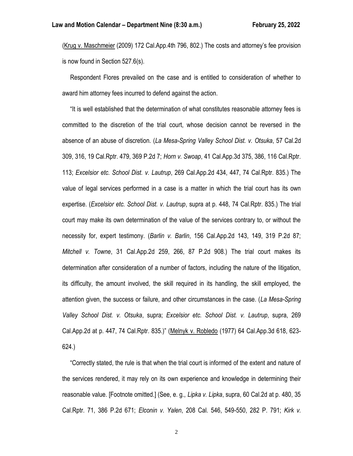(Krug v. Maschmeier (2009) 172 Cal.App.4th 796, 802.) The costs and attorney's fee provision is now found in Section 527.6(s).

 Respondent Flores prevailed on the case and is entitled to consideration of whether to award him attorney fees incurred to defend against the action.

 "It is well established that the determination of what constitutes reasonable attorney fees is committed to the discretion of the trial court, whose decision cannot be reversed in the absence of an abuse of discretion. (*La Mesa-Spring Valley School Dist. v. Otsuka*, 57 Cal.2d 309, 316, 19 Cal.Rptr. 479, 369 P.2d 7; *Horn v. Swoap*, 41 Cal.App.3d 375, 386, 116 Cal.Rptr. 113; *Excelsior etc. School Dist. v. Lautrup*, 269 Cal.App.2d 434, 447, 74 Cal.Rptr. 835.) The value of legal services performed in a case is a matter in which the trial court has its own expertise. (*Excelsior etc. School Dist. v. Lautrup*, supra at p. 448, 74 Cal.Rptr. 835.) The trial court may make its own determination of the value of the services contrary to, or without the necessity for, expert testimony. (*Barlin v. Barlin*, 156 Cal.App.2d 143, 149, 319 P.2d 87; *Mitchell v. Towne*, 31 Cal.App.2d 259, 266, 87 P.2d 908.) The trial court makes its determination after consideration of a number of factors, including the nature of the litigation, its difficulty, the amount involved, the skill required in its handling, the skill employed, the attention given, the success or failure, and other circumstances in the case. (*La Mesa-Spring Valley School Dist. v. Otsuka*, supra; *Excelsior etc. School Dist. v. Lautrup*, supra, 269 Cal.App.2d at p. 447, 74 Cal.Rptr. 835.)" (Melnyk v. Robledo (1977) 64 Cal.App.3d 618, 623- 624.)

 "Correctly stated, the rule is that when the trial court is informed of the extent and nature of the services rendered, it may rely on its own experience and knowledge in determining their reasonable value. [Footnote omitted.] (See, e. g., *Lipka v. Lipka*, supra, 60 Cal.2d at p. 480, 35 Cal.Rptr. 71, 386 P.2d 671; *Elconin v. Yalen*, 208 Cal. 546, 549-550, 282 P. 791; *Kirk v.*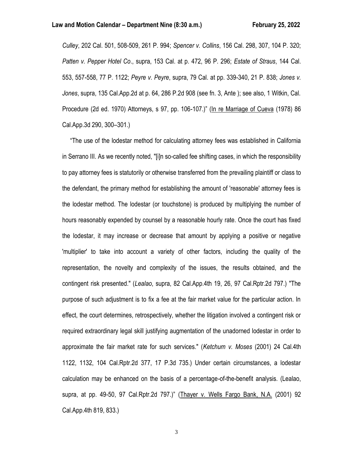*Culley*, 202 Cal. 501, 508-509, 261 P. 994; *Spencer v. Collins*, 156 Cal. 298, 307, 104 P. 320; *Patten v. Pepper Hotel Co*., supra, 153 Cal. at p. 472, 96 P. 296; *Estate of Straus*, 144 Cal. 553, 557-558, 77 P. 1122; *Peyre v. Peyre*, supra, 79 Cal. at pp. 339-340, 21 P. 838; *Jones v. Jones*, supra, 135 Cal.App.2d at p. 64, 286 P.2d 908 (see fn. 3, Ante ); see also, 1 Witkin, Cal. Procedure (2d ed. 1970) Attorneys, s 97, pp. 106-107.)" (In re Marriage of Cueva (1978) 86 Cal.App.3d 290, 300–301.)

 "The use of the lodestar method for calculating attorney fees was established in California in Serrano III. As we recently noted, "[i]n so-called fee shifting cases, in which the responsibility to pay attorney fees is statutorily or otherwise transferred from the prevailing plaintiff or class to the defendant, the primary method for establishing the amount of 'reasonable' attorney fees is the lodestar method. The lodestar (or touchstone) is produced by multiplying the number of hours reasonably expended by counsel by a reasonable hourly rate. Once the court has fixed the lodestar, it may increase or decrease that amount by applying a positive or negative 'multiplier' to take into account a variety of other factors, including the quality of the representation, the novelty and complexity of the issues, the results obtained, and the contingent risk presented." (*Lealao*, supra, 82 Cal.App.4th 19, 26, 97 Cal.Rptr.2d 797.) "The purpose of such adjustment is to fix a fee at the fair market value for the particular action. In effect, the court determines, retrospectively, whether the litigation involved a contingent risk or required extraordinary legal skill justifying augmentation of the unadorned lodestar in order to approximate the fair market rate for such services." (*Ketchum v. Moses* (2001) 24 Cal.4th 1122, 1132, 104 Cal.Rptr.2d 377, 17 P.3d 735.) Under certain circumstances, a lodestar calculation may be enhanced on the basis of a percentage-of-the-benefit analysis. (Lealao, supra, at pp. 49-50, 97 Cal.Rptr.2d 797.)" (Thayer v. Wells Fargo Bank, N.A. (2001) 92 Cal.App.4th 819, 833.)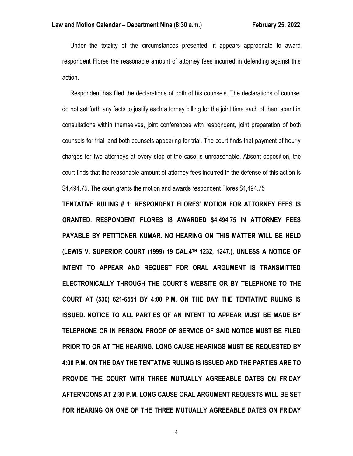Under the totality of the circumstances presented, it appears appropriate to award respondent Flores the reasonable amount of attorney fees incurred in defending against this action.

 Respondent has filed the declarations of both of his counsels. The declarations of counsel do not set forth any facts to justify each attorney billing for the joint time each of them spent in consultations within themselves, joint conferences with respondent, joint preparation of both counsels for trial, and both counsels appearing for trial. The court finds that payment of hourly charges for two attorneys at every step of the case is unreasonable. Absent opposition, the court finds that the reasonable amount of attorney fees incurred in the defense of this action is \$4,494.75. The court grants the motion and awards respondent Flores \$4,494.75

**TENTATIVE RULING # 1: RESPONDENT FLORES' MOTION FOR ATTORNEY FEES IS GRANTED. RESPONDENT FLORES IS AWARDED \$4,494.75 IN ATTORNEY FEES PAYABLE BY PETITIONER KUMAR. NO HEARING ON THIS MATTER WILL BE HELD (LEWIS V. SUPERIOR COURT (1999) 19 CAL.4TH 1232, 1247.), UNLESS A NOTICE OF INTENT TO APPEAR AND REQUEST FOR ORAL ARGUMENT IS TRANSMITTED ELECTRONICALLY THROUGH THE COURT'S WEBSITE OR BY TELEPHONE TO THE COURT AT (530) 621-6551 BY 4:00 P.M. ON THE DAY THE TENTATIVE RULING IS ISSUED. NOTICE TO ALL PARTIES OF AN INTENT TO APPEAR MUST BE MADE BY TELEPHONE OR IN PERSON. PROOF OF SERVICE OF SAID NOTICE MUST BE FILED PRIOR TO OR AT THE HEARING. LONG CAUSE HEARINGS MUST BE REQUESTED BY 4:00 P.M. ON THE DAY THE TENTATIVE RULING IS ISSUED AND THE PARTIES ARE TO PROVIDE THE COURT WITH THREE MUTUALLY AGREEABLE DATES ON FRIDAY AFTERNOONS AT 2:30 P.M. LONG CAUSE ORAL ARGUMENT REQUESTS WILL BE SET FOR HEARING ON ONE OF THE THREE MUTUALLY AGREEABLE DATES ON FRIDAY**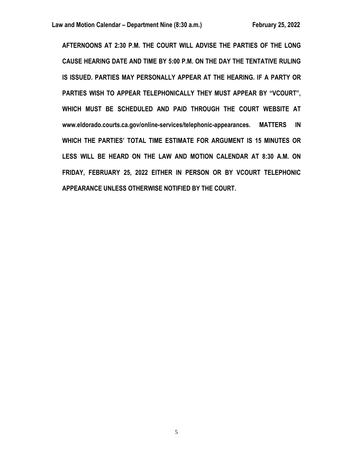**AFTERNOONS AT 2:30 P.M. THE COURT WILL ADVISE THE PARTIES OF THE LONG CAUSE HEARING DATE AND TIME BY 5:00 P.M. ON THE DAY THE TENTATIVE RULING IS ISSUED. PARTIES MAY PERSONALLY APPEAR AT THE HEARING. IF A PARTY OR PARTIES WISH TO APPEAR TELEPHONICALLY THEY MUST APPEAR BY "VCOURT", WHICH MUST BE SCHEDULED AND PAID THROUGH THE COURT WEBSITE AT www.eldorado.courts.ca.gov/online-services/telephonic-appearances. MATTERS IN WHICH THE PARTIES' TOTAL TIME ESTIMATE FOR ARGUMENT IS 15 MINUTES OR LESS WILL BE HEARD ON THE LAW AND MOTION CALENDAR AT 8:30 A.M. ON FRIDAY, FEBRUARY 25, 2022 EITHER IN PERSON OR BY VCOURT TELEPHONIC APPEARANCE UNLESS OTHERWISE NOTIFIED BY THE COURT.**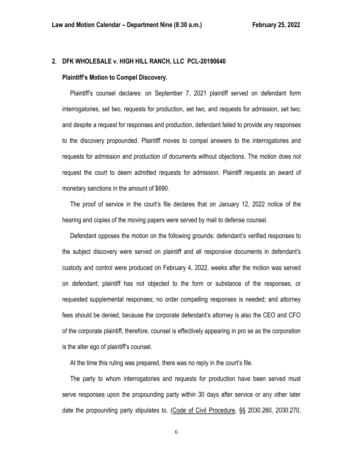## **2. DFK WHOLESALE v. HIGH HILL RANCH, LLC PCL-20190640**

#### **Plaintiff's Motion to Compel Discovery.**

 Plaintiff's counsel declares: on September 7, 2021 plaintiff served on defendant form interrogatories, set two, requests for production, set two, and requests for admission, set two; and despite a request for responses and production, defendant failed to provide any responses to the discovery propounded. Plaintiff moves to compel answers to the interrogatories and requests for admission and production of documents without objections. The motion does not request the court to deem admitted requests for admission. Plaintiff requests an award of monetary sanctions in the amount of \$690.

 The proof of service in the court's file declares that on January 12, 2022 notice of the hearing and copies of the moving papers were served by mail to defense counsel.

 Defendant opposes the motion on the following grounds: defendant's verified responses to the subject discovery were served on plaintiff and all responsive documents in defendant's custody and control were produced on February 4, 2022, weeks after the motion was served on defendant; plaintiff has not objected to the form or substance of the responses, or requested supplemental responses; no order compelling responses is needed; and attorney fees should be denied, because the corporate defendant's attorney is also the CEO and CFO of the corporate plaintiff, therefore, counsel is effectively appearing in pro se as the corporation is the alter ego of plaintiff's counsel.

At the time this ruling was prepared, there was no reply in the court's file.

 The party to whom interrogatories and requests for production have been served must serve responses upon the propounding party within 30 days after service or any other later date the propounding party stipulates to. (Code of Civil Procedure, §§ 2030.260, 2030.270,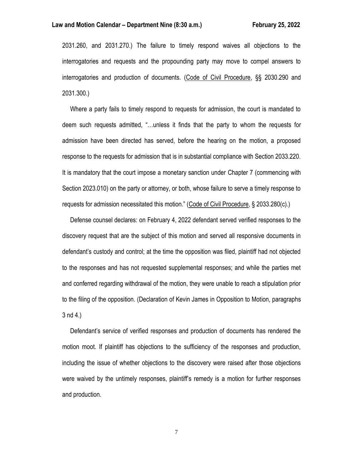#### **Law and Motion Calendar – Department Nine (8:30 a.m.) February 25, 2022**

2031.260, and 2031.270.) The failure to timely respond waives all objections to the interrogatories and requests and the propounding party may move to compel answers to interrogatories and production of documents. (Code of Civil Procedure, §§ 2030.290 and 2031.300.)

 Where a party fails to timely respond to requests for admission, the court is mandated to deem such requests admitted, "…unless it finds that the party to whom the requests for admission have been directed has served, before the hearing on the motion, a proposed response to the requests for admission that is in substantial compliance with Section 2033.220. It is mandatory that the court impose a monetary sanction under Chapter 7 (commencing with Section 2023.010) on the party or attorney, or both, whose failure to serve a timely response to requests for admission necessitated this motion." (Code of Civil Procedure, § 2033.280(c).)

 Defense counsel declares: on February 4, 2022 defendant served verified responses to the discovery request that are the subject of this motion and served all responsive documents in defendant's custody and control; at the time the opposition was filed, plaintiff had not objected to the responses and has not requested supplemental responses; and while the parties met and conferred regarding withdrawal of the motion, they were unable to reach a stipulation prior to the filing of the opposition. (Declaration of Kevin James in Opposition to Motion, paragraphs 3 nd 4.)

 Defendant's service of verified responses and production of documents has rendered the motion moot. If plaintiff has objections to the sufficiency of the responses and production, including the issue of whether objections to the discovery were raised after those objections were waived by the untimely responses, plaintiff's remedy is a motion for further responses and production.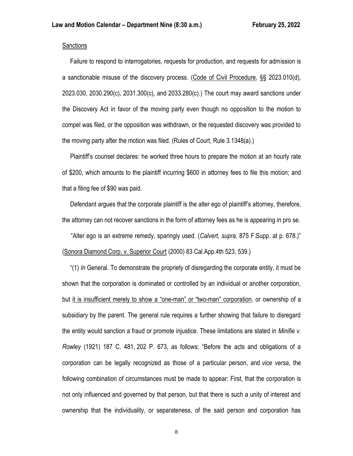## **Sanctions**

 Failure to respond to interrogatories, requests for production, and requests for admission is a sanctionable misuse of the discovery process. (Code of Civil Procedure, §§ 2023.010(d), 2023.030, 2030.290(c), 2031.300(c), and 2033.280(c).) The court may award sanctions under the Discovery Act in favor of the moving party even though no opposition to the motion to compel was filed, or the opposition was withdrawn, or the requested discovery was provided to the moving party after the motion was filed. (Rules of Court, Rule 3.1348(a).)

 Plaintiff's counsel declares: he worked three hours to prepare the motion at an hourly rate of \$200, which amounts to the plaintiff incurring \$600 in attorney fees to file this motion; and that a filing fee of \$90 was paid.

 Defendant argues that the corporate plaintiff is the alter ego of plaintiff's attorney, therefore, the attorney can not recover sanctions in the form of attorney fees as he is appearing in pro se.

"Alter ego is an extreme remedy, sparingly used. (*Calvert, supra,* 875 F.Supp. at p. 678.)" (Sonora Diamond Corp. v. Superior Court (2000) 83 Cal.App.4th 523, 539.)

 "(1) *In* General. To demonstrate the propriety of disregarding the corporate entity, it must be shown that the corporation is dominated or controlled by an individual or another corporation, but it is insufficient merely to show a "one-man" or "two-man" corporation, or ownership of a subsidiary by the parent. The general rule requires a further showing that failure to disregard the entity would sanction a fraud or promote injustice. These limitations are stated in *Minifie v. Rowley* (1921) 187 C. 481, 202 P. 673, as follows: "Before the acts and obligations of a corporation can be legally recognized as those of a particular person, and *vice versa*, the following combination of circumstances must be made to appear: First, that the corporation is not only influenced and governed by that person, but that there is such a unity of interest and ownership that the individuality, or separateness, of the said person and corporation has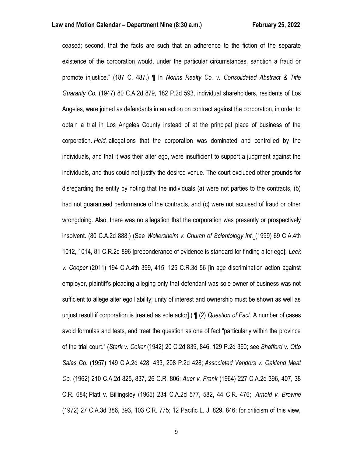ceased; second, that the facts are such that an adherence to the fiction of the separate existence of the corporation would, under the particular circumstances, sanction a fraud or promote injustice." (187 C. 487.) ¶ In *Norins Realty Co. v. Consolidated Abstract & Title Guaranty Co.* (1947) 80 C.A.2d 879, 182 P.2d 593, individual shareholders, residents of Los Angeles, were joined as defendants in an action on contract against the corporation, in order to obtain a trial in Los Angeles County instead of at the principal place of business of the corporation. *Held,* allegations that the corporation was dominated and controlled by the individuals, and that it was their alter ego, were insufficient to support a judgment against the individuals, and thus could not justify the desired venue. The court excluded other grounds for disregarding the entity by noting that the individuals (a) were not parties to the contracts, (b) had not guaranteed performance of the contracts, and (c) were not accused of fraud or other wrongdoing. Also, there was no allegation that the corporation was presently or prospectively insolvent. (80 C.A.2d 888.) (See *Wollersheim v. Church of Scientology Int.* (1999) 69 C.A.4th 1012, 1014, 81 C.R.2d 896 [preponderance of evidence is standard for finding alter ego]; *Leek v. Cooper* (2011) 194 C.A.4th 399, 415, 125 C.R.3d 56 [in age discrimination action against employer, plaintiff's pleading alleging only that defendant was sole owner of business was not sufficient to allege alter ego liability; unity of interest and ownership must be shown as well as unjust result if corporation is treated as sole actor].) ¶ (2) *Question of Fact*. A number of cases avoid formulas and tests, and treat the question as one of fact "particularly within the province of the trial court." (*Stark v. Coker* (1942) 20 C.2d 839, 846, 129 P.2d 390; see *Shafford v. Otto Sales Co.* (1957) 149 C.A.2d 428, 433, 208 P.2d 428; *Associated Vendors v. Oakland Meat Co.* (1962) 210 C.A.2d 825, 837, 26 C.R. 806; *Auer v. Frank* (1964) 227 C.A.2d 396, 407, 38 C.R. 684; Platt v. Billingsley (1965) 234 C.A.2d 577, 582, 44 C.R. 476; *Arnold v. Browne* (1972) 27 C.A.3d 386, 393, 103 C.R. 775; 12 Pacific L. J. 829, 846; for criticism of this view,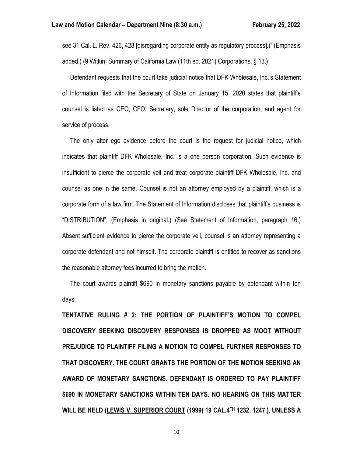see 31 Cal. L. Rev. 426, 428 [disregarding corporate entity as regulatory process].)" (Emphasis added.) (9 Witkin, Summary of California Law (11th ed. 2021) Corporations, § 13.)

 Defendant requests that the court take judicial notice that DFK Wholesale, Inc.'s Statement of Information filed with the Secretary of State on January 15, 2020 states that plaintiff's counsel is listed as CEO, CFO, Secretary, sole Director of the corporation, and agent for service of process.

 The only alter ego evidence before the court is the request for judicial notice, which indicates that plaintiff DFK Wholesale, Inc. is a one person corporation. Such evidence is insufficient to pierce the corporate veil and treat corporate plaintiff DFK Wholesale, Inc. and counsel as one in the same. Counsel is not an attorney employed by a plaintiff, which is a corporate form of a law firm. The Statement of Information discloses that plaintiff's business is "DISTRIBUTION". (Emphasis in original.) (See Statement of Information, paragraph 16.) Absent sufficient evidence to pierce the corporate veil, counsel is an attorney representing a corporate defendant and not himself. The corporate plaintiff is entitled to recover as sanctions the reasonable attorney fees incurred to bring the motion.

 The court awards plaintiff \$690 in monetary sanctions payable by defendant within ten days.

**TENTATIVE RULING # 2: THE PORTION OF PLAINTIFF'S MOTION TO COMPEL DISCOVERY SEEKING DISCOVERY RESPONSES IS DROPPED AS MOOT WITHOUT PREJUDICE TO PLAINTIFF FILING A MOTION TO COMPEL FURTHER RESPONSES TO THAT DISCOVERY. THE COURT GRANTS THE PORTION OF THE MOTION SEEKING AN AWARD OF MONETARY SANCTIONS. DEFENDANT IS ORDERED TO PAY PLAINTIFF \$690 IN MONETARY SANCTIONS WITHIN TEN DAYS. NO HEARING ON THIS MATTER WILL BE HELD (LEWIS V. SUPERIOR COURT (1999) 19 CAL.4TH 1232, 1247.), UNLESS A**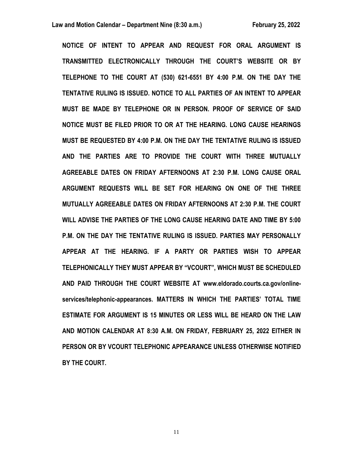**NOTICE OF INTENT TO APPEAR AND REQUEST FOR ORAL ARGUMENT IS TRANSMITTED ELECTRONICALLY THROUGH THE COURT'S WEBSITE OR BY TELEPHONE TO THE COURT AT (530) 621-6551 BY 4:00 P.M. ON THE DAY THE TENTATIVE RULING IS ISSUED. NOTICE TO ALL PARTIES OF AN INTENT TO APPEAR MUST BE MADE BY TELEPHONE OR IN PERSON. PROOF OF SERVICE OF SAID NOTICE MUST BE FILED PRIOR TO OR AT THE HEARING. LONG CAUSE HEARINGS MUST BE REQUESTED BY 4:00 P.M. ON THE DAY THE TENTATIVE RULING IS ISSUED AND THE PARTIES ARE TO PROVIDE THE COURT WITH THREE MUTUALLY AGREEABLE DATES ON FRIDAY AFTERNOONS AT 2:30 P.M. LONG CAUSE ORAL ARGUMENT REQUESTS WILL BE SET FOR HEARING ON ONE OF THE THREE MUTUALLY AGREEABLE DATES ON FRIDAY AFTERNOONS AT 2:30 P.M. THE COURT WILL ADVISE THE PARTIES OF THE LONG CAUSE HEARING DATE AND TIME BY 5:00 P.M. ON THE DAY THE TENTATIVE RULING IS ISSUED. PARTIES MAY PERSONALLY APPEAR AT THE HEARING. IF A PARTY OR PARTIES WISH TO APPEAR TELEPHONICALLY THEY MUST APPEAR BY "VCOURT", WHICH MUST BE SCHEDULED AND PAID THROUGH THE COURT WEBSITE AT www.eldorado.courts.ca.gov/onlineservices/telephonic-appearances. MATTERS IN WHICH THE PARTIES' TOTAL TIME ESTIMATE FOR ARGUMENT IS 15 MINUTES OR LESS WILL BE HEARD ON THE LAW AND MOTION CALENDAR AT 8:30 A.M. ON FRIDAY, FEBRUARY 25, 2022 EITHER IN PERSON OR BY VCOURT TELEPHONIC APPEARANCE UNLESS OTHERWISE NOTIFIED BY THE COURT.**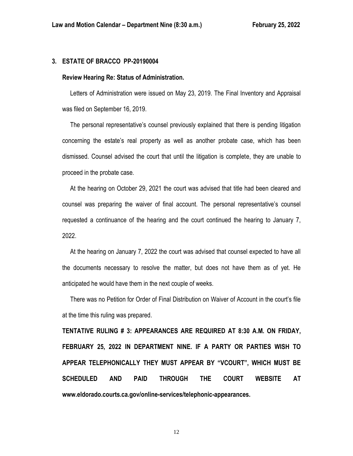## **3. ESTATE OF BRACCO PP-20190004**

## **Review Hearing Re: Status of Administration.**

 Letters of Administration were issued on May 23, 2019. The Final Inventory and Appraisal was filed on September 16, 2019.

 The personal representative's counsel previously explained that there is pending litigation concerning the estate's real property as well as another probate case, which has been dismissed. Counsel advised the court that until the litigation is complete, they are unable to proceed in the probate case.

 At the hearing on October 29, 2021 the court was advised that title had been cleared and counsel was preparing the waiver of final account. The personal representative's counsel requested a continuance of the hearing and the court continued the hearing to January 7, 2022.

 At the hearing on January 7, 2022 the court was advised that counsel expected to have all the documents necessary to resolve the matter, but does not have them as of yet. He anticipated he would have them in the next couple of weeks.

 There was no Petition for Order of Final Distribution on Waiver of Account in the court's file at the time this ruling was prepared.

**TENTATIVE RULING # 3: APPEARANCES ARE REQUIRED AT 8:30 A.M. ON FRIDAY, FEBRUARY 25, 2022 IN DEPARTMENT NINE. IF A PARTY OR PARTIES WISH TO APPEAR TELEPHONICALLY THEY MUST APPEAR BY "VCOURT", WHICH MUST BE SCHEDULED AND PAID THROUGH THE COURT WEBSITE AT www.eldorado.courts.ca.gov/online-services/telephonic-appearances.**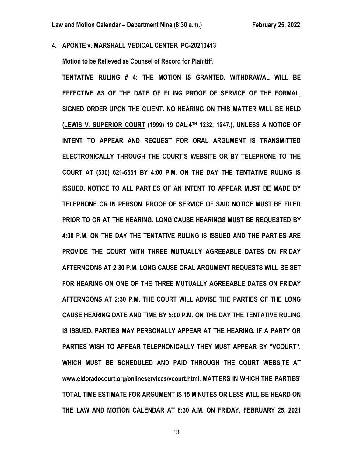**4. APONTE v. MARSHALL MEDICAL CENTER PC-20210413**

**Motion to be Relieved as Counsel of Record for Plaintiff.**

**TENTATIVE RULING # 4: THE MOTION IS GRANTED. WITHDRAWAL WILL BE EFFECTIVE AS OF THE DATE OF FILING PROOF OF SERVICE OF THE FORMAL, SIGNED ORDER UPON THE CLIENT. NO HEARING ON THIS MATTER WILL BE HELD (LEWIS V. SUPERIOR COURT (1999) 19 CAL.4TH 1232, 1247.), UNLESS A NOTICE OF INTENT TO APPEAR AND REQUEST FOR ORAL ARGUMENT IS TRANSMITTED ELECTRONICALLY THROUGH THE COURT'S WEBSITE OR BY TELEPHONE TO THE COURT AT (530) 621-6551 BY 4:00 P.M. ON THE DAY THE TENTATIVE RULING IS ISSUED. NOTICE TO ALL PARTIES OF AN INTENT TO APPEAR MUST BE MADE BY TELEPHONE OR IN PERSON. PROOF OF SERVICE OF SAID NOTICE MUST BE FILED PRIOR TO OR AT THE HEARING. LONG CAUSE HEARINGS MUST BE REQUESTED BY 4:00 P.M. ON THE DAY THE TENTATIVE RULING IS ISSUED AND THE PARTIES ARE PROVIDE THE COURT WITH THREE MUTUALLY AGREEABLE DATES ON FRIDAY AFTERNOONS AT 2:30 P.M. LONG CAUSE ORAL ARGUMENT REQUESTS WILL BE SET FOR HEARING ON ONE OF THE THREE MUTUALLY AGREEABLE DATES ON FRIDAY AFTERNOONS AT 2:30 P.M. THE COURT WILL ADVISE THE PARTIES OF THE LONG CAUSE HEARING DATE AND TIME BY 5:00 P.M. ON THE DAY THE TENTATIVE RULING IS ISSUED. PARTIES MAY PERSONALLY APPEAR AT THE HEARING. IF A PARTY OR PARTIES WISH TO APPEAR TELEPHONICALLY THEY MUST APPEAR BY "VCOURT", WHICH MUST BE SCHEDULED AND PAID THROUGH THE COURT WEBSITE AT www.eldoradocourt.org/onlineservices/vcourt.html. MATTERS IN WHICH THE PARTIES' TOTAL TIME ESTIMATE FOR ARGUMENT IS 15 MINUTES OR LESS WILL BE HEARD ON THE LAW AND MOTION CALENDAR AT 8:30 A.M. ON FRIDAY, FEBRUARY 25, 2021**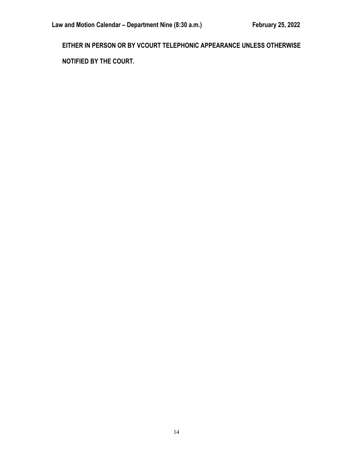**EITHER IN PERSON OR BY VCOURT TELEPHONIC APPEARANCE UNLESS OTHERWISE NOTIFIED BY THE COURT.**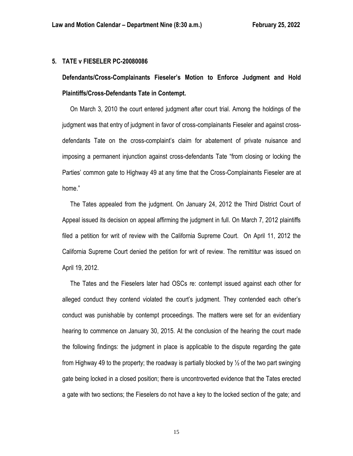## **5. TATE v FIESELER PC-20080086**

# **Defendants/Cross-Complainants Fieseler's Motion to Enforce Judgment and Hold Plaintiffs/Cross-Defendants Tate in Contempt.**

 On March 3, 2010 the court entered judgment after court trial. Among the holdings of the judgment was that entry of judgment in favor of cross-complainants Fieseler and against crossdefendants Tate on the cross-complaint's claim for abatement of private nuisance and imposing a permanent injunction against cross-defendants Tate "from closing or locking the Parties' common gate to Highway 49 at any time that the Cross-Complainants Fieseler are at home."

 The Tates appealed from the judgment. On January 24, 2012 the Third District Court of Appeal issued its decision on appeal affirming the judgment in full. On March 7, 2012 plaintiffs filed a petition for writ of review with the California Supreme Court. On April 11, 2012 the California Supreme Court denied the petition for writ of review. The remittitur was issued on April 19, 2012.

 The Tates and the Fieselers later had OSCs re: contempt issued against each other for alleged conduct they contend violated the court's judgment. They contended each other's conduct was punishable by contempt proceedings. The matters were set for an evidentiary hearing to commence on January 30, 2015. At the conclusion of the hearing the court made the following findings: the judgment in place is applicable to the dispute regarding the gate from Highway 49 to the property; the roadway is partially blocked by  $\frac{1}{2}$  of the two part swinging gate being locked in a closed position; there is uncontroverted evidence that the Tates erected a gate with two sections; the Fieselers do not have a key to the locked section of the gate; and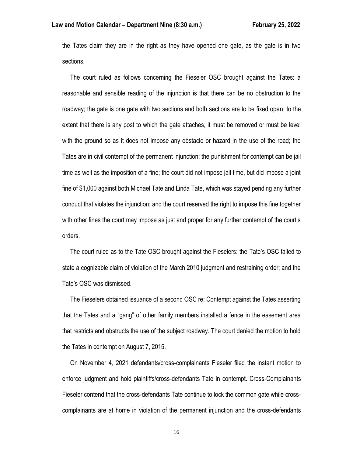the Tates claim they are in the right as they have opened one gate, as the gate is in two sections.

 The court ruled as follows concerning the Fieseler OSC brought against the Tates: a reasonable and sensible reading of the injunction is that there can be no obstruction to the roadway; the gate is one gate with two sections and both sections are to be fixed open; to the extent that there is any post to which the gate attaches, it must be removed or must be level with the ground so as it does not impose any obstacle or hazard in the use of the road; the Tates are in civil contempt of the permanent injunction; the punishment for contempt can be jail time as well as the imposition of a fine; the court did not impose jail time, but did impose a joint fine of \$1,000 against both Michael Tate and Linda Tate, which was stayed pending any further conduct that violates the injunction; and the court reserved the right to impose this fine together with other fines the court may impose as just and proper for any further contempt of the court's orders.

 The court ruled as to the Tate OSC brought against the Fieselers: the Tate's OSC failed to state a cognizable claim of violation of the March 2010 judgment and restraining order; and the Tate's OSC was dismissed.

 The Fieselers obtained issuance of a second OSC re: Contempt against the Tates asserting that the Tates and a "gang" of other family members installed a fence in the easement area that restricts and obstructs the use of the subject roadway. The court denied the motion to hold the Tates in contempt on August 7, 2015.

 On November 4, 2021 defendants/cross-complainants Fieseler filed the instant motion to enforce judgment and hold plaintiffs/cross-defendants Tate in contempt. Cross-Complainants Fieseler contend that the cross-defendants Tate continue to lock the common gate while crosscomplainants are at home in violation of the permanent injunction and the cross-defendants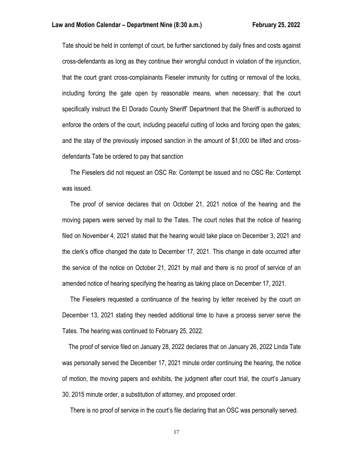Tate should be held in contempt of court, be further sanctioned by daily fines and costs against cross-defendants as long as they continue their wrongful conduct in violation of the injunction, that the court grant cross-complainants Fieseler immunity for cutting or removal of the locks, including forcing the gate open by reasonable means, when necessary; that the court specifically instruct the El Dorado County Sheriff' Department that the Sheriff is authorized to enforce the orders of the court, including peaceful cutting of locks and forcing open the gates; and the stay of the previously imposed sanction in the amount of \$1,000 be lifted and crossdefendants Tate be ordered to pay that sanction

 The Fieselers did not request an OSC Re: Contempt be issued and no OSC Re: Contempt was issued.

 The proof of service declares that on October 21, 2021 notice of the hearing and the moving papers were served by mail to the Tates. The court notes that the notice of hearing filed on November 4, 2021 stated that the hearing would take place on December 3, 2021 and the clerk's office changed the date to December 17, 2021. This change in date occurred after the service of the notice on October 21, 2021 by mail and there is no proof of service of an amended notice of hearing specifying the hearing as taking place on December 17, 2021.

 The Fieselers requested a continuance of the hearing by letter received by the court on December 13, 2021 stating they needed additional time to have a process server serve the Tates. The hearing was continued to February 25, 2022.

 The proof of service filed on January 28, 2022 declares that on January 26, 2022 Linda Tate was personally served the December 17, 2021 minute order continuing the hearing, the notice of motion, the moving papers and exhibits, the judgment after court trial, the court's January 30, 2015 minute order, a substitution of attorney, and proposed order.

There is no proof of service in the court's file declaring that an OSC was personally served.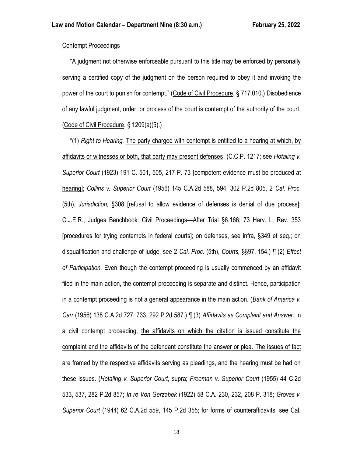## Contempt Proceedings

 "A judgment not otherwise enforceable pursuant to this title may be enforced by personally serving a certified copy of the judgment on the person required to obey it and invoking the power of the court to punish for contempt." (Code of Civil Procedure, § 717.010.) Disobedience of any lawful judgment, order, or process of the court is contempt of the authority of the court. (Code of Civil Procedure, § 1209(a)(5).)

 "(1) *Right to Hearing.* The party charged with contempt is entitled to a hearing at which, by affidavits or witnesses or both, that party may present defenses. (C.C.P. 1217; see *Hotaling v. Superior Court* (1923) 191 C. 501, 505, 217 P. 73 [competent evidence must be produced at hearing]; *Collins v. Superior Court* (1956) 145 C.A.2d 588, 594, 302 P.2d 805, 2 *Cal. Proc.* (5th), *Jurisdiction,* §308 [refusal to allow evidence of defenses is denial of due process]; C.J.E.R., Judges Benchbook: Civil Proceedings—After Trial §6.166; 73 Harv. L. Rev. 353 [procedures for trying contempts in federal courts]; on defenses, see infra, §349 et seq.; on disqualification and challenge of judge, see 2 *Cal. Proc.* (5th), *Courts,* §§97, 154.) ¶ (2) *Effect of Participation.* Even though the contempt proceeding is usually commenced by an affidavit filed in the main action, the contempt proceeding is separate and distinct. Hence, participation in a contempt proceeding is not a general appearance in the main action. (*Bank of America v. Carr* (1956) 138 C.A.2d 727, 733, 292 P.2d 587.) ¶ (3) *Affidavits as Complaint and Answer.* In a civil contempt proceeding, the affidavits on which the citation is issued constitute the complaint and the affidavits of the defendant constitute the answer or plea. The issues of fact are framed by the respective affidavits serving as pleadings, and the hearing must be had on these issues. (*Hotaling v. Superior Court*, supra; *Freeman v. Superior Court* (1955) 44 C.2d 533, 537, 282 P.2d 857; *In re Von Gerzabek* (1922) 58 C.A. 230, 232, 208 P. 318; *Groves v. Superior Court* (1944) 62 C.A.2d 559, 145 P.2d 355; for forms of counteraffidavits, see Cal.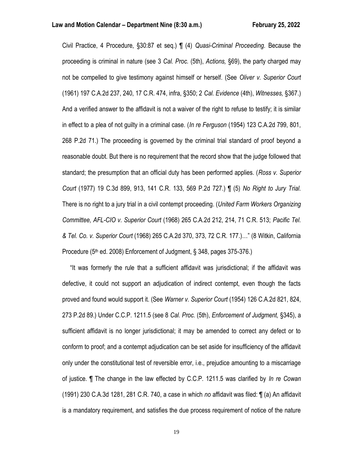Civil Practice, 4 Procedure, §30:87 et seq.) ¶ (4) *Quasi-Criminal Proceeding.* Because the proceeding is criminal in nature (see 3 *Cal. Proc.* (5th), *Actions,* §69), the party charged may not be compelled to give testimony against himself or herself. (See *Oliver v. Superior Court* (1961) 197 C.A.2d 237, 240, 17 C.R. 474, infra, §350; 2 *Cal. Evidence* (4th), *Witnesses,* §367.) And a verified answer to the affidavit is not a waiver of the right to refuse to testify; it is similar in effect to a plea of not guilty in a criminal case. (*In re Ferguson* (1954) 123 C.A.2d 799, 801, 268 P.2d 71.) The proceeding is governed by the criminal trial standard of proof beyond a reasonable doubt. But there is no requirement that the record show that the judge followed that standard; the presumption that an official duty has been performed applies. (*Ross v. Superior Court* (1977) 19 C.3d 899, 913, 141 C.R. 133, 569 P.2d 727.) ¶ (5) *No Right to Jury Trial.* There is no right to a jury trial in a civil contempt proceeding. (*United Farm Workers Organizing Committee, AFL-CIO v. Superior Court* (1968) 265 C.A.2d 212, 214, 71 C.R. 513; *Pacific Tel. & Tel. Co. v. Superior Court* (1968) 265 C.A.2d 370, 373, 72 C.R. 177.)…" (8 Witkin, California Procedure (5<sup>th</sup> ed. 2008) Enforcement of Judgment, § 348, pages 375-376.)

 "It was formerly the rule that a sufficient affidavit was jurisdictional; if the affidavit was defective, it could not support an adjudication of indirect contempt, even though the facts proved and found would support it. (See *Warner v. Superior Court* (1954) 126 C.A.2d 821, 824, 273 P.2d 89.) Under C.C.P. 1211.5 (see 8 *Cal. Proc.* (5th), *Enforcement of Judgment,* §345), a sufficient affidavit is no longer jurisdictional; it may be amended to correct any defect or to conform to proof; and a contempt adjudication can be set aside for insufficiency of the affidavit only under the constitutional test of reversible error, i.e., prejudice amounting to a miscarriage of justice. ¶ The change in the law effected by C.C.P. 1211.5 was clarified by *In re Cowan* (1991) 230 C.A.3d 1281, 281 C.R. 740, a case in which *no* affidavit was filed: ¶ (a) An affidavit is a mandatory requirement, and satisfies the due process requirement of notice of the nature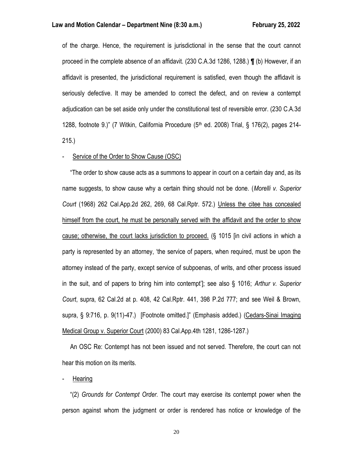of the charge. Hence, the requirement is jurisdictional in the sense that the court cannot proceed in the complete absence of an affidavit. (230 C.A.3d 1286, 1288.) **¶** (b) However, if an affidavit is presented, the jurisdictional requirement is satisfied, even though the affidavit is seriously defective. It may be amended to correct the defect, and on review a contempt adjudication can be set aside only under the constitutional test of reversible error. (230 C.A.3d 1288, footnote 9.)" (7 Witkin, California Procedure (5th ed. 2008) Trial, § 176(2), pages 214- 215.)

## Service of the Order to Show Cause (OSC)

 "The order to show cause acts as a summons to appear in court on a certain day and, as its name suggests, to show cause why a certain thing should not be done. (*Morelli v. Superior Court* (1968) 262 Cal.App.2d 262, 269, 68 Cal.Rptr. 572.) Unless the citee has concealed himself from the court, he must be personally served with the affidavit and the order to show cause; otherwise, the court lacks jurisdiction to proceed. (§ 1015 [in civil actions in which a party is represented by an attorney, 'the service of papers, when required, must be upon the attorney instead of the party, except service of subpoenas, of writs, and other process issued in the suit, and of papers to bring him into contempt']; see also § 1016; *Arthur v. Superior Court*, supra, 62 Cal.2d at p. 408, 42 Cal.Rptr. 441, 398 P.2d 777; and see Weil & Brown, supra, § 9:716, p. 9(11)-47.) [Footnote omitted.]" (Emphasis added.) (Cedars-Sinai Imaging Medical Group v. Superior Court (2000) 83 Cal.App.4th 1281, 1286-1287.)

 An OSC Re: Contempt has not been issued and not served. Therefore, the court can not hear this motion on its merits.

**Hearing** 

 "(2) *Grounds for Contempt Order.* The court may exercise its contempt power when the person against whom the judgment or order is rendered has notice or knowledge of the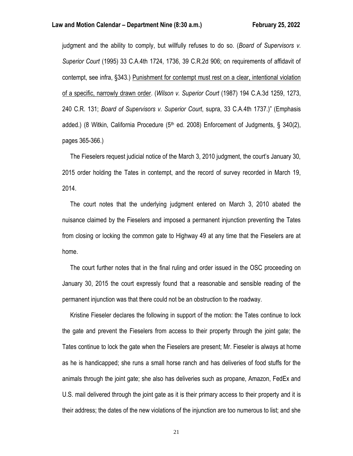judgment and the ability to comply, but willfully refuses to do so. (*Board of Supervisors v. Superior Court* (1995) 33 C.A.4th 1724, 1736, 39 C.R.2d 906; on requirements of affidavit of contempt, see infra, §343.) Punishment for contempt must rest on a clear, intentional violation of a specific, narrowly drawn order. (*Wilson v. Superior Court* (1987) 194 C.A.3d 1259, 1273, 240 C.R. 131; *Board of Supervisors v. Superior Court*, supra, 33 C.A.4th 1737.)" (Emphasis added.) (8 Witkin, California Procedure ( $5<sup>th</sup>$  ed. 2008) Enforcement of Judgments, § 340(2), pages 365-366.)

 The Fieselers request judicial notice of the March 3, 2010 judgment, the court's January 30, 2015 order holding the Tates in contempt, and the record of survey recorded in March 19, 2014.

 The court notes that the underlying judgment entered on March 3, 2010 abated the nuisance claimed by the Fieselers and imposed a permanent injunction preventing the Tates from closing or locking the common gate to Highway 49 at any time that the Fieselers are at home.

 The court further notes that in the final ruling and order issued in the OSC proceeding on January 30, 2015 the court expressly found that a reasonable and sensible reading of the permanent injunction was that there could not be an obstruction to the roadway.

 Kristine Fieseler declares the following in support of the motion: the Tates continue to lock the gate and prevent the Fieselers from access to their property through the joint gate; the Tates continue to lock the gate when the Fieselers are present; Mr. Fieseler is always at home as he is handicapped; she runs a small horse ranch and has deliveries of food stuffs for the animals through the joint gate; she also has deliveries such as propane, Amazon, FedEx and U.S. mail delivered through the joint gate as it is their primary access to their property and it is their address; the dates of the new violations of the injunction are too numerous to list; and she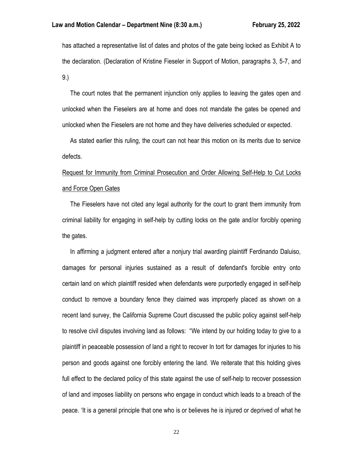has attached a representative list of dates and photos of the gate being locked as Exhibit A to the declaration. (Declaration of Kristine Fieseler in Support of Motion, paragraphs 3, 5-7, and 9.)

 The court notes that the permanent injunction only applies to leaving the gates open and unlocked when the Fieselers are at home and does not mandate the gates be opened and unlocked when the Fieselers are not home and they have deliveries scheduled or expected.

 As stated earlier this ruling, the court can not hear this motion on its merits due to service defects.

# Request for Immunity from Criminal Prosecution and Order Allowing Self-Help to Cut Locks and Force Open Gates

 The Fieselers have not cited any legal authority for the court to grant them immunity from criminal liability for engaging in self-help by cutting locks on the gate and/or forcibly opening the gates.

 In affirming a judgment entered after a nonjury trial awarding plaintiff Ferdinando Daluiso, damages for personal injuries sustained as a result of defendant's forcible entry onto certain land on which plaintiff resided when defendants were purportedly engaged in self-help conduct to remove a boundary fence they claimed was improperly placed as shown on a recent land survey, the California Supreme Court discussed the public policy against self-help to resolve civil disputes involving land as follows: "We intend by our holding today to give to a plaintiff in peaceable possession of land a right to recover In tort for damages for injuries to his person and goods against one forcibly entering the land. We reiterate that this holding gives full effect to the declared policy of this state against the use of self-help to recover possession of land and imposes liability on persons who engage in conduct which leads to a breach of the peace. 'It is a general principle that one who is or believes he is injured or deprived of what he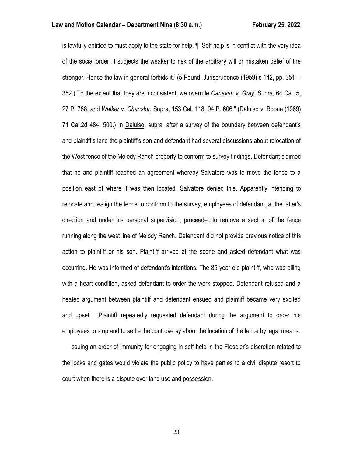is lawfully entitled to must apply to the state for help. ¶ Self help is in conflict with the very idea of the social order. It subjects the weaker to risk of the arbitrary will or mistaken belief of the stronger. Hence the law in general forbids it.' (5 Pound, Jurisprudence (1959) s 142, pp. 351— 352.) To the extent that they are inconsistent, we overrule *Canavan v. Gray*, Supra, 64 Cal. 5, 27 P. 788, and *Walker v. Chanslor*, Supra, 153 Cal. 118, 94 P. 606." (Daluiso v. Boone (1969) 71 Cal.2d 484, 500.) In Daluiso, supra, after a survey of the boundary between defendant's and plaintiff's land the plaintiff's son and defendant had several discussions about relocation of the West fence of the Melody Ranch property to conform to survey findings. Defendant claimed that he and plaintiff reached an agreement whereby Salvatore was to move the fence to a position east of where it was then located. Salvatore denied this. Apparently intending to relocate and realign the fence to conform to the survey, employees of defendant, at the latter's direction and under his personal supervision, proceeded to remove a section of the fence running along the west line of Melody Ranch. Defendant did not provide previous notice of this action to plaintiff or his son. Plaintiff arrived at the scene and asked defendant what was occurring. He was informed of defendant's intentions. The 85 year old plaintiff, who was ailing with a heart condition, asked defendant to order the work stopped. Defendant refused and a heated argument between plaintiff and defendant ensued and plaintiff became very excited and upset. Plaintiff repeatedly requested defendant during the argument to order his employees to stop and to settle the controversy about the location of the fence by legal means.

 Issuing an order of immunity for engaging in self-help in the Fieseler's discretion related to the locks and gates would violate the public policy to have parties to a civil dispute resort to court when there is a dispute over land use and possession.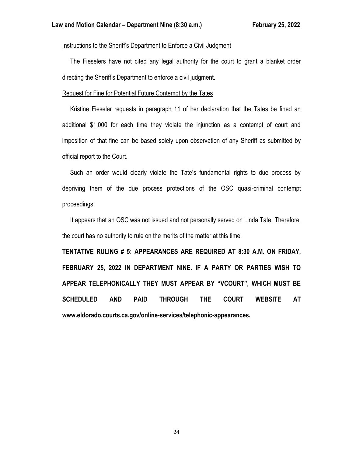## Instructions to the Sheriff's Department to Enforce a Civil Judgment

 The Fieselers have not cited any legal authority for the court to grant a blanket order directing the Sheriff's Department to enforce a civil judgment.

## Request for Fine for Potential Future Contempt by the Tates

 Kristine Fieseler requests in paragraph 11 of her declaration that the Tates be fined an additional \$1,000 for each time they violate the injunction as a contempt of court and imposition of that fine can be based solely upon observation of any Sheriff as submitted by official report to the Court.

 Such an order would clearly violate the Tate's fundamental rights to due process by depriving them of the due process protections of the OSC quasi-criminal contempt proceedings.

 It appears that an OSC was not issued and not personally served on Linda Tate. Therefore, the court has no authority to rule on the merits of the matter at this time.

**TENTATIVE RULING # 5: APPEARANCES ARE REQUIRED AT 8:30 A.M. ON FRIDAY, FEBRUARY 25, 2022 IN DEPARTMENT NINE. IF A PARTY OR PARTIES WISH TO APPEAR TELEPHONICALLY THEY MUST APPEAR BY "VCOURT", WHICH MUST BE SCHEDULED AND PAID THROUGH THE COURT WEBSITE AT www.eldorado.courts.ca.gov/online-services/telephonic-appearances.**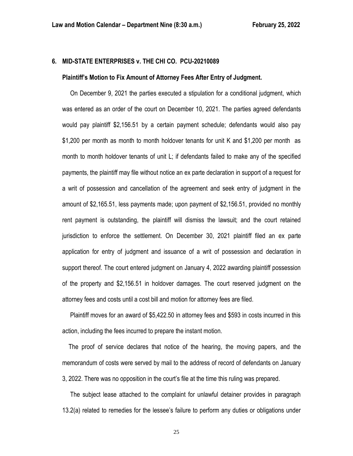## **6. MID-STATE ENTERPRISES v. THE CHI CO. PCU-20210089**

#### **Plaintiff's Motion to Fix Amount of Attorney Fees After Entry of Judgment.**

 On December 9, 2021 the parties executed a stipulation for a conditional judgment, which was entered as an order of the court on December 10, 2021. The parties agreed defendants would pay plaintiff \$2,156.51 by a certain payment schedule; defendants would also pay \$1,200 per month as month to month holdover tenants for unit K and \$1,200 per month as month to month holdover tenants of unit L; if defendants failed to make any of the specified payments, the plaintiff may file without notice an ex parte declaration in support of a request for a writ of possession and cancellation of the agreement and seek entry of judgment in the amount of \$2,165.51, less payments made; upon payment of \$2,156.51, provided no monthly rent payment is outstanding, the plaintiff will dismiss the lawsuit; and the court retained jurisdiction to enforce the settlement. On December 30, 2021 plaintiff filed an ex parte application for entry of judgment and issuance of a writ of possession and declaration in support thereof. The court entered judgment on January 4, 2022 awarding plaintiff possession of the property and \$2,156.51 in holdover damages. The court reserved judgment on the attorney fees and costs until a cost bill and motion for attorney fees are filed.

 Plaintiff moves for an award of \$5,422.50 in attorney fees and \$593 in costs incurred in this action, including the fees incurred to prepare the instant motion.

 The proof of service declares that notice of the hearing, the moving papers, and the memorandum of costs were served by mail to the address of record of defendants on January 3, 2022. There was no opposition in the court's file at the time this ruling was prepared.

 The subject lease attached to the complaint for unlawful detainer provides in paragraph 13.2(a) related to remedies for the lessee's failure to perform any duties or obligations under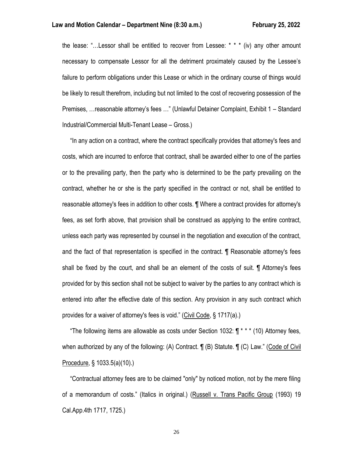the lease: "…Lessor shall be entitled to recover from Lessee: \* \* \* (iv) any other amount necessary to compensate Lessor for all the detriment proximately caused by the Lessee's failure to perform obligations under this Lease or which in the ordinary course of things would be likely to result therefrom, including but not limited to the cost of recovering possession of the Premises, …reasonable attorney's fees …" (Unlawful Detainer Complaint, Exhibit 1 – Standard Industrial/Commercial Multi-Tenant Lease – Gross.)

 "In any action on a contract, where the contract specifically provides that attorney's fees and costs, which are incurred to enforce that contract, shall be awarded either to one of the parties or to the prevailing party, then the party who is determined to be the party prevailing on the contract, whether he or she is the party specified in the contract or not, shall be entitled to reasonable attorney's fees in addition to other costs. ¶ Where a contract provides for attorney's fees, as set forth above, that provision shall be construed as applying to the entire contract, unless each party was represented by counsel in the negotiation and execution of the contract, and the fact of that representation is specified in the contract. ¶ Reasonable attorney's fees shall be fixed by the court, and shall be an element of the costs of suit. ¶ Attorney's fees provided for by this section shall not be subject to waiver by the parties to any contract which is entered into after the effective date of this section. Any provision in any such contract which provides for a waiver of attorney's fees is void." (Civil Code, § 1717(a).)

 "The following items are allowable as costs under Section 1032: ¶ \* \* \* (10) Attorney fees, when authorized by any of the following: (A) Contract. ¶ (B) Statute. ¶ (C) Law." (Code of Civil Procedure, § 1033.5(a)(10).)

 "Contractual attorney fees are to be claimed "only" by noticed motion, not by the mere filing of a memorandum of costs." (Italics in original.) (Russell v. Trans Pacific Group (1993) 19 Cal.App.4th 1717, 1725.)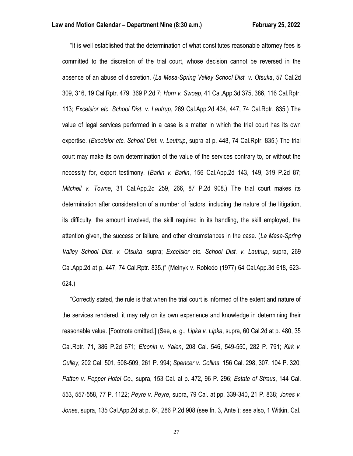"It is well established that the determination of what constitutes reasonable attorney fees is committed to the discretion of the trial court, whose decision cannot be reversed in the absence of an abuse of discretion. (*La Mesa-Spring Valley School Dist. v. Otsuka*, 57 Cal.2d 309, 316, 19 Cal.Rptr. 479, 369 P.2d 7; *Horn v. Swoap*, 41 Cal.App.3d 375, 386, 116 Cal.Rptr. 113; *Excelsior etc. School Dist. v. Lautrup*, 269 Cal.App.2d 434, 447, 74 Cal.Rptr. 835.) The value of legal services performed in a case is a matter in which the trial court has its own expertise. (*Excelsior etc. School Dist. v. Lautrup*, supra at p. 448, 74 Cal.Rptr. 835.) The trial court may make its own determination of the value of the services contrary to, or without the necessity for, expert testimony. (*Barlin v. Barlin*, 156 Cal.App.2d 143, 149, 319 P.2d 87; *Mitchell v. Towne*, 31 Cal.App.2d 259, 266, 87 P.2d 908.) The trial court makes its determination after consideration of a number of factors, including the nature of the litigation, its difficulty, the amount involved, the skill required in its handling, the skill employed, the attention given, the success or failure, and other circumstances in the case. (*La Mesa-Spring Valley School Dist. v. Otsuka*, supra; *Excelsior etc. School Dist. v. Lautrup*, supra, 269 Cal.App.2d at p. 447, 74 Cal.Rptr. 835.)" (Melnyk v. Robledo (1977) 64 Cal.App.3d 618, 623- 624.)

 "Correctly stated, the rule is that when the trial court is informed of the extent and nature of the services rendered, it may rely on its own experience and knowledge in determining their reasonable value. [Footnote omitted.] (See, e. g., *Lipka v. Lipka*, supra, 60 Cal.2d at p. 480, 35 Cal.Rptr. 71, 386 P.2d 671; *Elconin v. Yalen*, 208 Cal. 546, 549-550, 282 P. 791; *Kirk v. Culley*, 202 Cal. 501, 508-509, 261 P. 994; *Spencer v. Collins*, 156 Cal. 298, 307, 104 P. 320; *Patten v. Pepper Hotel Co*., supra, 153 Cal. at p. 472, 96 P. 296; *Estate of Straus*, 144 Cal. 553, 557-558, 77 P. 1122; *Peyre v. Peyre*, supra, 79 Cal. at pp. 339-340, 21 P. 838; *Jones v. Jones*, supra, 135 Cal.App.2d at p. 64, 286 P.2d 908 (see fn. 3, Ante ); see also, 1 Witkin, Cal.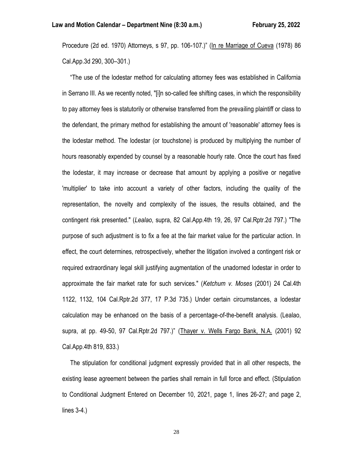Procedure (2d ed. 1970) Attorneys, s 97, pp. 106-107.)" (In re Marriage of Cueva (1978) 86 Cal.App.3d 290, 300–301.)

 "The use of the lodestar method for calculating attorney fees was established in California in Serrano III. As we recently noted, "[i]n so-called fee shifting cases, in which the responsibility to pay attorney fees is statutorily or otherwise transferred from the prevailing plaintiff or class to the defendant, the primary method for establishing the amount of 'reasonable' attorney fees is the lodestar method. The lodestar (or touchstone) is produced by multiplying the number of hours reasonably expended by counsel by a reasonable hourly rate. Once the court has fixed the lodestar, it may increase or decrease that amount by applying a positive or negative 'multiplier' to take into account a variety of other factors, including the quality of the representation, the novelty and complexity of the issues, the results obtained, and the contingent risk presented." (*Lealao*, supra, 82 Cal.App.4th 19, 26, 97 Cal.Rptr.2d 797.) "The purpose of such adjustment is to fix a fee at the fair market value for the particular action. In effect, the court determines, retrospectively, whether the litigation involved a contingent risk or required extraordinary legal skill justifying augmentation of the unadorned lodestar in order to approximate the fair market rate for such services." (*Ketchum v. Moses* (2001) 24 Cal.4th 1122, 1132, 104 Cal.Rptr.2d 377, 17 P.3d 735.) Under certain circumstances, a lodestar calculation may be enhanced on the basis of a percentage-of-the-benefit analysis. (Lealao, supra, at pp. 49-50, 97 Cal.Rptr.2d 797.)" (Thayer v. Wells Fargo Bank, N.A. (2001) 92 Cal.App.4th 819, 833.)

 The stipulation for conditional judgment expressly provided that in all other respects, the existing lease agreement between the parties shall remain in full force and effect. (Stipulation to Conditional Judgment Entered on December 10, 2021, page 1, lines 26-27; and page 2, lines 3-4.)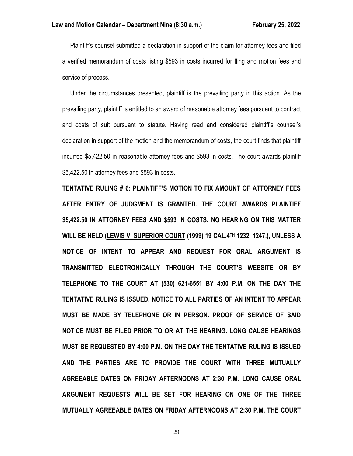Plaintiff's counsel submitted a declaration in support of the claim for attorney fees and filed a verified memorandum of costs listing \$593 in costs incurred for fling and motion fees and service of process.

 Under the circumstances presented, plaintiff is the prevailing party in this action. As the prevailing party, plaintiff is entitled to an award of reasonable attorney fees pursuant to contract and costs of suit pursuant to statute. Having read and considered plaintiff's counsel's declaration in support of the motion and the memorandum of costs, the court finds that plaintiff incurred \$5,422.50 in reasonable attorney fees and \$593 in costs. The court awards plaintiff \$5,422.50 in attorney fees and \$593 in costs.

**TENTATIVE RULING # 6: PLAINTIFF'S MOTION TO FIX AMOUNT OF ATTORNEY FEES AFTER ENTRY OF JUDGMENT IS GRANTED. THE COURT AWARDS PLAINTIFF \$5,422.50 IN ATTORNEY FEES AND \$593 IN COSTS. NO HEARING ON THIS MATTER WILL BE HELD (LEWIS V. SUPERIOR COURT (1999) 19 CAL.4TH 1232, 1247.), UNLESS A NOTICE OF INTENT TO APPEAR AND REQUEST FOR ORAL ARGUMENT IS TRANSMITTED ELECTRONICALLY THROUGH THE COURT'S WEBSITE OR BY TELEPHONE TO THE COURT AT (530) 621-6551 BY 4:00 P.M. ON THE DAY THE TENTATIVE RULING IS ISSUED. NOTICE TO ALL PARTIES OF AN INTENT TO APPEAR MUST BE MADE BY TELEPHONE OR IN PERSON. PROOF OF SERVICE OF SAID NOTICE MUST BE FILED PRIOR TO OR AT THE HEARING. LONG CAUSE HEARINGS MUST BE REQUESTED BY 4:00 P.M. ON THE DAY THE TENTATIVE RULING IS ISSUED AND THE PARTIES ARE TO PROVIDE THE COURT WITH THREE MUTUALLY AGREEABLE DATES ON FRIDAY AFTERNOONS AT 2:30 P.M. LONG CAUSE ORAL ARGUMENT REQUESTS WILL BE SET FOR HEARING ON ONE OF THE THREE MUTUALLY AGREEABLE DATES ON FRIDAY AFTERNOONS AT 2:30 P.M. THE COURT**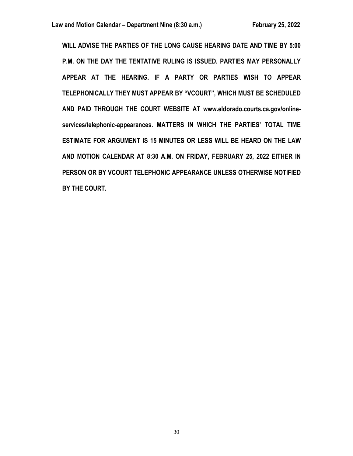**WILL ADVISE THE PARTIES OF THE LONG CAUSE HEARING DATE AND TIME BY 5:00 P.M. ON THE DAY THE TENTATIVE RULING IS ISSUED. PARTIES MAY PERSONALLY APPEAR AT THE HEARING. IF A PARTY OR PARTIES WISH TO APPEAR TELEPHONICALLY THEY MUST APPEAR BY "VCOURT", WHICH MUST BE SCHEDULED AND PAID THROUGH THE COURT WEBSITE AT www.eldorado.courts.ca.gov/onlineservices/telephonic-appearances. MATTERS IN WHICH THE PARTIES' TOTAL TIME ESTIMATE FOR ARGUMENT IS 15 MINUTES OR LESS WILL BE HEARD ON THE LAW AND MOTION CALENDAR AT 8:30 A.M. ON FRIDAY, FEBRUARY 25, 2022 EITHER IN PERSON OR BY VCOURT TELEPHONIC APPEARANCE UNLESS OTHERWISE NOTIFIED BY THE COURT.**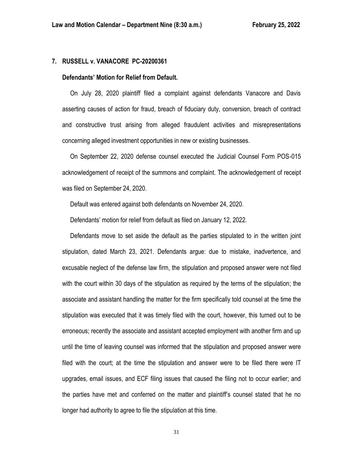## **7. RUSSELL v. VANACORE PC-20200361**

#### **Defendants' Motion for Relief from Default.**

 On July 28, 2020 plaintiff filed a complaint against defendants Vanacore and Davis asserting causes of action for fraud, breach of fiduciary duty, conversion, breach of contract and constructive trust arising from alleged fraudulent activities and misrepresentations concerning alleged investment opportunities in new or existing businesses.

 On September 22, 2020 defense counsel executed the Judicial Counsel Form POS-015 acknowledgement of receipt of the summons and complaint. The acknowledgement of receipt was filed on September 24, 2020.

Default was entered against both defendants on November 24, 2020.

Defendants' motion for relief from default as filed on January 12, 2022.

 Defendants move to set aside the default as the parties stipulated to in the written joint stipulation, dated March 23, 2021. Defendants argue: due to mistake, inadvertence, and excusable neglect of the defense law firm, the stipulation and proposed answer were not filed with the court within 30 days of the stipulation as required by the terms of the stipulation; the associate and assistant handling the matter for the firm specifically told counsel at the time the stipulation was executed that it was timely filed with the court, however, this turned out to be erroneous; recently the associate and assistant accepted employment with another firm and up until the time of leaving counsel was informed that the stipulation and proposed answer were filed with the court; at the time the stipulation and answer were to be filed there were IT upgrades, email issues, and ECF filing issues that caused the filing not to occur earlier; and the parties have met and conferred on the matter and plaintiff's counsel stated that he no longer had authority to agree to file the stipulation at this time.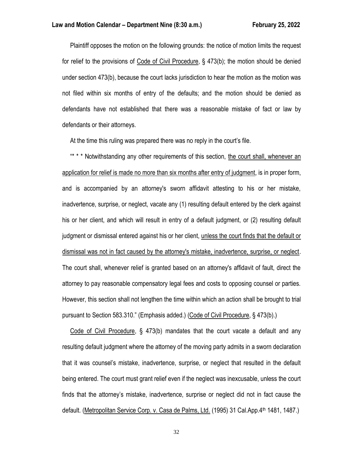Plaintiff opposes the motion on the following grounds: the notice of motion limits the request for relief to the provisions of Code of Civil Procedure, § 473(b); the motion should be denied under section 473(b), because the court lacks jurisdiction to hear the motion as the motion was not filed within six months of entry of the defaults; and the motion should be denied as defendants have not established that there was a reasonable mistake of fact or law by defendants or their attorneys.

At the time this ruling was prepared there was no reply in the court's file.

\*\*\*\* Notwithstanding any other requirements of this section, the court shall, whenever an application for relief is made no more than six months after entry of judgment, is in proper form, and is accompanied by an attorney's sworn affidavit attesting to his or her mistake, inadvertence, surprise, or neglect, vacate any (1) resulting default entered by the clerk against his or her client, and which will result in entry of a default judgment, or (2) resulting default judgment or dismissal entered against his or her client, unless the court finds that the default or dismissal was not in fact caused by the attorney's mistake, inadvertence, surprise, or neglect. The court shall, whenever relief is granted based on an attorney's affidavit of fault, direct the attorney to pay reasonable compensatory legal fees and costs to opposing counsel or parties. However, this section shall not lengthen the time within which an action shall be brought to trial pursuant to Section 583.310." (Emphasis added.) (Code of Civil Procedure, § 473(b).)

 Code of Civil Procedure, § 473(b) mandates that the court vacate a default and any resulting default judgment where the attorney of the moving party admits in a sworn declaration that it was counsel's mistake, inadvertence, surprise, or neglect that resulted in the default being entered. The court must grant relief even if the neglect was inexcusable, unless the court finds that the attorney's mistake, inadvertence, surprise or neglect did not in fact cause the default. (Metropolitan Service Corp. v. Casa de Palms, Ltd. (1995) 31 Cal.App.4th 1481, 1487.)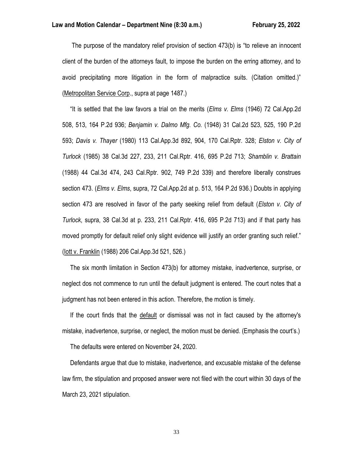The purpose of the mandatory relief provision of section 473(b) is "to relieve an innocent client of the burden of the attorneys fault, to impose the burden on the erring attorney, and to avoid precipitating more litigation in the form of malpractice suits. (Citation omitted.)" (Metropolitan Service Corp., supra at page 1487.)

 "It is settled that the law favors a trial on the merits (*Elms v. Elms* (1946) 72 Cal.App.2d 508, 513, 164 P.2d 936; *Benjamin v. Dalmo Mfg. Co.* (1948) 31 Cal.2d 523, 525, 190 P.2d 593; *Davis v. Thayer* (1980) 113 Cal.App.3d 892, 904, 170 Cal.Rptr. 328; *Elston v. City of Turlock* (1985) 38 Cal.3d 227, 233, 211 Cal.Rptr. 416, 695 P.2d 713; *Shamblin v. Brattain* (1988) 44 Cal.3d 474, 243 Cal.Rptr. 902, 749 P.2d 339) and therefore liberally construes section 473. (*Elms v. Elms*, supra, 72 Cal.App.2d at p. 513, 164 P.2d 936.) Doubts in applying section 473 are resolved in favor of the party seeking relief from default (*Elston v. City of Turlock*, supra, 38 Cal.3d at p. 233, 211 Cal.Rptr. 416, 695 P.2d 713) and if that party has moved promptly for default relief only slight evidence will justify an order granting such relief." (Iott v. Franklin (1988) 206 Cal.App.3d 521, 526.)

 The six month limitation in Section 473(b) for attorney mistake, inadvertence, surprise, or neglect dos not commence to run until the default judgment is entered. The court notes that a judgment has not been entered in this action. Therefore, the motion is timely.

 If the court finds that the default or dismissal was not in fact caused by the attorney's mistake, inadvertence, surprise, or neglect, the motion must be denied. (Emphasis the court's.)

The defaults were entered on November 24, 2020.

 Defendants argue that due to mistake, inadvertence, and excusable mistake of the defense law firm, the stipulation and proposed answer were not filed with the court within 30 days of the March 23, 2021 stipulation.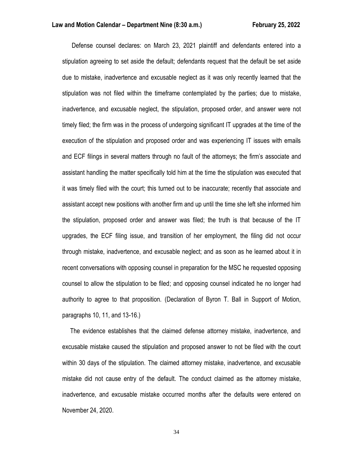Defense counsel declares: on March 23, 2021 plaintiff and defendants entered into a stipulation agreeing to set aside the default; defendants request that the default be set aside due to mistake, inadvertence and excusable neglect as it was only recently learned that the stipulation was not filed within the timeframe contemplated by the parties; due to mistake, inadvertence, and excusable neglect, the stipulation, proposed order, and answer were not timely filed; the firm was in the process of undergoing significant IT upgrades at the time of the execution of the stipulation and proposed order and was experiencing IT issues with emails and ECF filings in several matters through no fault of the attorneys; the firm's associate and assistant handling the matter specifically told him at the time the stipulation was executed that it was timely filed with the court; this turned out to be inaccurate; recently that associate and assistant accept new positions with another firm and up until the time she left she informed him the stipulation, proposed order and answer was filed; the truth is that because of the IT upgrades, the ECF filing issue, and transition of her employment, the filing did not occur through mistake, inadvertence, and excusable neglect; and as soon as he learned about it in recent conversations with opposing counsel in preparation for the MSC he requested opposing counsel to allow the stipulation to be filed; and opposing counsel indicated he no longer had authority to agree to that proposition. (Declaration of Byron T. Ball in Support of Motion, paragraphs 10, 11, and 13-16.)

 The evidence establishes that the claimed defense attorney mistake, inadvertence, and excusable mistake caused the stipulation and proposed answer to not be filed with the court within 30 days of the stipulation. The claimed attorney mistake, inadvertence, and excusable mistake did not cause entry of the default. The conduct claimed as the attorney mistake, inadvertence, and excusable mistake occurred months after the defaults were entered on November 24, 2020.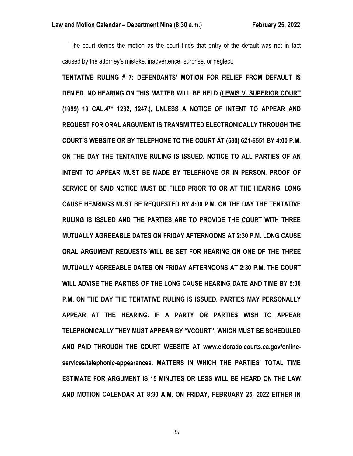The court denies the motion as the court finds that entry of the default was not in fact caused by the attorney's mistake, inadvertence, surprise, or neglect.

**TENTATIVE RULING # 7: DEFENDANTS' MOTION FOR RELIEF FROM DEFAULT IS DENIED. NO HEARING ON THIS MATTER WILL BE HELD (LEWIS V. SUPERIOR COURT (1999) 19 CAL.4TH 1232, 1247.), UNLESS A NOTICE OF INTENT TO APPEAR AND REQUEST FOR ORAL ARGUMENT IS TRANSMITTED ELECTRONICALLY THROUGH THE COURT'S WEBSITE OR BY TELEPHONE TO THE COURT AT (530) 621-6551 BY 4:00 P.M. ON THE DAY THE TENTATIVE RULING IS ISSUED. NOTICE TO ALL PARTIES OF AN INTENT TO APPEAR MUST BE MADE BY TELEPHONE OR IN PERSON. PROOF OF SERVICE OF SAID NOTICE MUST BE FILED PRIOR TO OR AT THE HEARING. LONG CAUSE HEARINGS MUST BE REQUESTED BY 4:00 P.M. ON THE DAY THE TENTATIVE RULING IS ISSUED AND THE PARTIES ARE TO PROVIDE THE COURT WITH THREE MUTUALLY AGREEABLE DATES ON FRIDAY AFTERNOONS AT 2:30 P.M. LONG CAUSE ORAL ARGUMENT REQUESTS WILL BE SET FOR HEARING ON ONE OF THE THREE MUTUALLY AGREEABLE DATES ON FRIDAY AFTERNOONS AT 2:30 P.M. THE COURT WILL ADVISE THE PARTIES OF THE LONG CAUSE HEARING DATE AND TIME BY 5:00 P.M. ON THE DAY THE TENTATIVE RULING IS ISSUED. PARTIES MAY PERSONALLY APPEAR AT THE HEARING. IF A PARTY OR PARTIES WISH TO APPEAR TELEPHONICALLY THEY MUST APPEAR BY "VCOURT", WHICH MUST BE SCHEDULED AND PAID THROUGH THE COURT WEBSITE AT www.eldorado.courts.ca.gov/onlineservices/telephonic-appearances. MATTERS IN WHICH THE PARTIES' TOTAL TIME ESTIMATE FOR ARGUMENT IS 15 MINUTES OR LESS WILL BE HEARD ON THE LAW AND MOTION CALENDAR AT 8:30 A.M. ON FRIDAY, FEBRUARY 25, 2022 EITHER IN**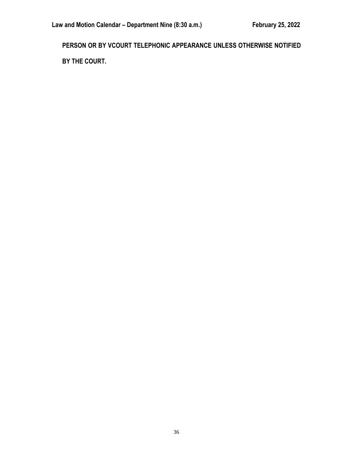**PERSON OR BY VCOURT TELEPHONIC APPEARANCE UNLESS OTHERWISE NOTIFIED BY THE COURT.**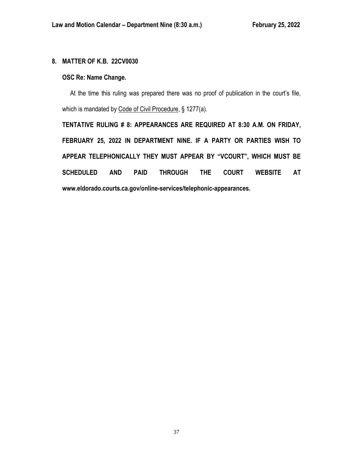## **8. MATTER OF K.B. 22CV0030**

## **OSC Re: Name Change.**

 At the time this ruling was prepared there was no proof of publication in the court's file, which is mandated by Code of Civil Procedure, § 1277(a).

**TENTATIVE RULING # 8: APPEARANCES ARE REQUIRED AT 8:30 A.M. ON FRIDAY, FEBRUARY 25, 2022 IN DEPARTMENT NINE. IF A PARTY OR PARTIES WISH TO APPEAR TELEPHONICALLY THEY MUST APPEAR BY "VCOURT", WHICH MUST BE SCHEDULED AND PAID THROUGH THE COURT WEBSITE AT www.eldorado.courts.ca.gov/online-services/telephonic-appearances.**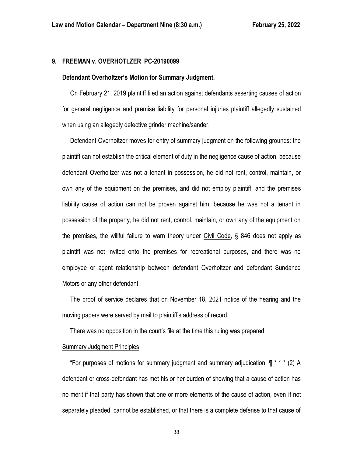## **9. FREEMAN v. OVERHOTLZER PC-20190099**

#### **Defendant Overholtzer's Motion for Summary Judgment.**

 On February 21, 2019 plaintiff filed an action against defendants asserting causes of action for general negligence and premise liability for personal injuries plaintiff allegedly sustained when using an allegedly defective grinder machine/sander.

 Defendant Overholtzer moves for entry of summary judgment on the following grounds: the plaintiff can not establish the critical element of duty in the negligence cause of action, because defendant Overholtzer was not a tenant in possession, he did not rent, control, maintain, or own any of the equipment on the premises, and did not employ plaintiff; and the premises liability cause of action can not be proven against him, because he was not a tenant in possession of the property, he did not rent, control, maintain, or own any of the equipment on the premises, the willful failure to warn theory under Civil Code, § 846 does not apply as plaintiff was not invited onto the premises for recreational purposes, and there was no employee or agent relationship between defendant Overholtzer and defendant Sundance Motors or any other defendant.

 The proof of service declares that on November 18, 2021 notice of the hearing and the moving papers were served by mail to plaintiff's address of record.

There was no opposition in the court's file at the time this ruling was prepared.

### Summary Judgment Principles

"For purposes of motions for summary judgment and summary adjudication:  $\P$ \*\*\* (2) A defendant or cross-defendant has met his or her burden of showing that a cause of action has no merit if that party has shown that one or more elements of the cause of action, even if not separately pleaded, cannot be established, or that there is a complete defense to that cause of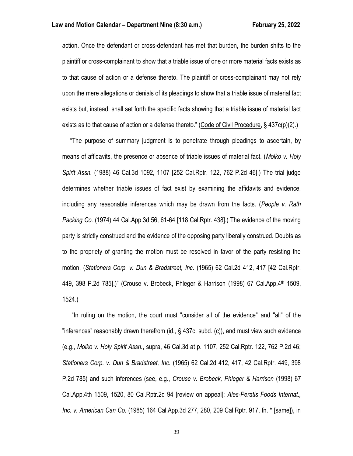action. Once the defendant or cross-defendant has met that burden, the burden shifts to the plaintiff or cross-complainant to show that a triable issue of one or more material facts exists as to that cause of action or a defense thereto. The plaintiff or cross-complainant may not rely upon the mere allegations or denials of its pleadings to show that a triable issue of material fact exists but, instead, shall set forth the specific facts showing that a triable issue of material fact exists as to that cause of action or a defense thereto." (Code of Civil Procedure, § 437c(p)(2).)

 "The purpose of summary judgment is to penetrate through pleadings to ascertain, by means of affidavits, the presence or absence of triable issues of material fact. (*Molko v. Holy Spirit Assn.* (1988) 46 Cal.3d 1092, 1107 [252 Cal.Rptr. 122, 762 P.2d 46].) The trial judge determines whether triable issues of fact exist by examining the affidavits and evidence, including any reasonable inferences which may be drawn from the facts. (*People v. Rath Packing Co.* (1974) 44 Cal.App.3d 56, 61-64 [118 Cal.Rptr. 438].) The evidence of the moving party is strictly construed and the evidence of the opposing party liberally construed. Doubts as to the propriety of granting the motion must be resolved in favor of the party resisting the motion. (*Stationers Corp. v. Dun & Bradstreet, Inc*. (1965) 62 Cal.2d 412, 417 [42 Cal.Rptr. 449, 398 P.2d 785].)" (Crouse v. Brobeck, Phleger & Harrison (1998) 67 Cal.App.4<sup>th</sup> 1509, 1524.)

 "In ruling on the motion, the court must "consider all of the evidence" and "all" of the "inferences" reasonably drawn therefrom (id., § 437c, subd. (c)), and must view such evidence (e.g., *Molko v. Holy Spirit Assn.*, supra, 46 Cal.3d at p. 1107, 252 Cal.Rptr. 122, 762 P.2d 46; *Stationers Corp. v. Dun & Bradstreet, Inc.* (1965) 62 Cal.2d 412, 417, 42 Cal.Rptr. 449, 398 P.2d 785) and such inferences (see, e.g., *Crouse v. Brobeck, Phleger & Harrison* (1998) 67 Cal.App.4th 1509, 1520, 80 Cal.Rptr.2d 94 [review on appeal]; *Ales-Peratis Foods Internat., Inc. v. American Can Co.* (1985) 164 Cal.App.3d 277, 280, 209 Cal.Rptr. 917, fn. \* [same]), in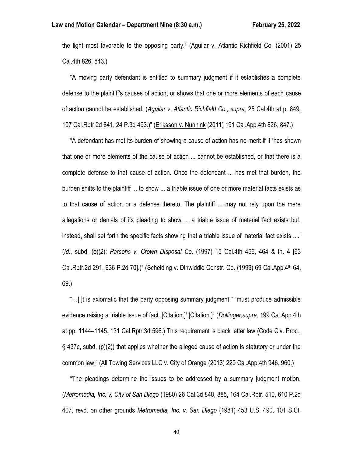the light most favorable to the opposing party." (Aguilar v. Atlantic Richfield Co. (2001) 25 Cal.4th 826, 843.)

 "A moving party defendant is entitled to summary judgment if it establishes a complete defense to the plaintiff's causes of action, or shows that one or more elements of each cause of action cannot be established. (*Aguilar v. Atlantic Richfield Co., supra,* 25 Cal.4th at p. 849, 107 Cal.Rptr.2d 841, 24 P.3d 493.)" (Eriksson v. Nunnink (2011) 191 Cal.App.4th 826, 847.)

 "A defendant has met its burden of showing a cause of action has no merit if it 'has shown that one or more elements of the cause of action ... cannot be established, or that there is a complete defense to that cause of action. Once the defendant ... has met that burden, the burden shifts to the plaintiff ... to show ... a triable issue of one or more material facts exists as to that cause of action or a defense thereto. The plaintiff ... may not rely upon the mere allegations or denials of its pleading to show ... a triable issue of material fact exists but, instead, shall set forth the specific facts showing that a triable issue of material fact exists ....' (*Id.*, subd. (o)(2); *Parsons v. Crown Disposal Co.* (1997) 15 Cal.4th 456, 464 & fn. 4 [63 Cal.Rptr.2d 291, 936 P.2d 70].)" (Scheiding v. Dinwiddie Constr. Co. (1999) 69 Cal.App.4th 64, 69.)

 "…[I]t is axiomatic that the party opposing summary judgment " 'must produce admissible evidence raising a triable issue of fact. [Citation.]' [Citation.]" (*Dollinger,supra,* 199 Cal.App.4th at pp. 1144–1145, 131 Cal.Rptr.3d 596.) This requirement is black letter law (Code Civ. Proc., § 437c, subd. (p)(2)) that applies whether the alleged cause of action is statutory or under the common law." (All Towing Services LLC v. City of Orange (2013) 220 Cal.App.4th 946, 960.)

 "The pleadings determine the issues to be addressed by a summary judgment motion. (*Metromedia, Inc. v. City of San Diego* (1980) 26 Cal.3d 848, 885, 164 Cal.Rptr. 510, 610 P.2d 407, revd. on other grounds *Metromedia, Inc. v. San Diego* (1981) 453 U.S. 490, 101 S.Ct.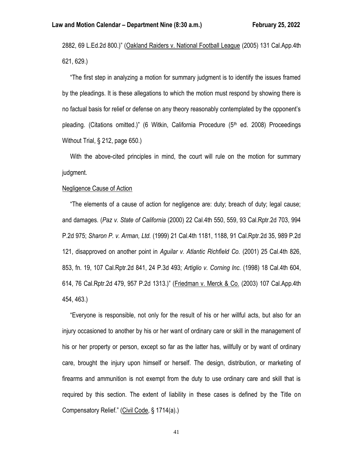2882, 69 L.Ed.2d 800.)" (Oakland Raiders v. National Football League (2005) 131 Cal.App.4th 621, 629.)

 "The first step in analyzing a motion for summary judgment is to identify the issues framed by the pleadings. It is these allegations to which the motion must respond by showing there is no factual basis for relief or defense on any theory reasonably contemplated by the opponent's pleading. (Citations omitted.)" (6 Witkin, California Procedure  $(5<sup>th</sup>$  ed. 2008) Proceedings Without Trial, § 212, page 650.)

 With the above-cited principles in mind, the court will rule on the motion for summary judgment.

## Negligence Cause of Action

 "The elements of a cause of action for negligence are: duty; breach of duty; legal cause; and damages. (*Paz v. State of California* (2000) 22 Cal.4th 550, 559, 93 Cal.Rptr.2d 703, 994 P.2d 975; *Sharon P. v. Arman, Ltd.* (1999) 21 Cal.4th 1181, 1188, 91 Cal.Rptr.2d 35, 989 P.2d 121, disapproved on another point in *Aguilar v. Atlantic Richfield Co.* (2001) 25 Cal.4th 826, 853, fn. 19, 107 Cal.Rptr.2d 841, 24 P.3d 493; *Artiglio v. Corning Inc.* (1998) 18 Cal.4th 604, 614, 76 Cal.Rptr.2d 479, 957 P.2d 1313.)" (Friedman v. Merck & Co. (2003) 107 Cal.App.4th 454, 463.)

 "Everyone is responsible, not only for the result of his or her willful acts, but also for an injury occasioned to another by his or her want of ordinary care or skill in the management of his or her property or person, except so far as the latter has, willfully or by want of ordinary care, brought the injury upon himself or herself. The design, distribution, or marketing of firearms and ammunition is not exempt from the duty to use ordinary care and skill that is required by this section. The extent of liability in these cases is defined by the Title on Compensatory Relief." (Civil Code, § 1714(a).)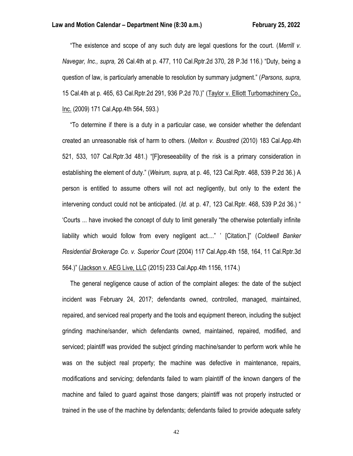"The existence and scope of any such duty are legal questions for the court. (*Merrill v. Navegar, Inc., supra,* 26 Cal.4th at p. 477, 110 Cal.Rptr.2d 370, 28 P.3d 116.) "Duty, being a question of law, is particularly amenable to resolution by summary judgment." (*Parsons, supra,* 15 Cal.4th at p. 465, 63 Cal.Rptr.2d 291, 936 P.2d 70.)" (Taylor v. Elliott Turbomachinery Co., Inc. (2009) 171 Cal.App.4th 564, 593.)

 "To determine if there is a duty in a particular case, we consider whether the defendant created an unreasonable risk of harm to others. (*Melton v. Boustred* (2010) 183 Cal.App.4th 521, 533, 107 Cal.Rptr.3d 481.) "[F]oreseeability of the risk is a primary consideration in establishing the element of duty." (*Weirum, supra,* at p. 46, 123 Cal.Rptr. 468, 539 P.2d 36.) A person is entitled to assume others will not act negligently, but only to the extent the intervening conduct could not be anticipated. (*Id.* at p. 47, 123 Cal.Rptr. 468, 539 P.2d 36.) " 'Courts ... have invoked the concept of duty to limit generally "the otherwise potentially infinite liability which would follow from every negligent act...." ' [Citation.]" (*Coldwell Banker Residential Brokerage Co. v. Superior Court* (2004) 117 Cal.App.4th 158, 164, 11 Cal.Rptr.3d 564.)" (Jackson v. AEG Live, LLC (2015) 233 Cal.App.4th 1156, 1174.)

 The general negligence cause of action of the complaint alleges: the date of the subject incident was February 24, 2017; defendants owned, controlled, managed, maintained, repaired, and serviced real property and the tools and equipment thereon, including the subject grinding machine/sander, which defendants owned, maintained, repaired, modified, and serviced; plaintiff was provided the subject grinding machine/sander to perform work while he was on the subject real property; the machine was defective in maintenance, repairs, modifications and servicing; defendants failed to warn plaintiff of the known dangers of the machine and failed to guard against those dangers; plaintiff was not properly instructed or trained in the use of the machine by defendants; defendants failed to provide adequate safety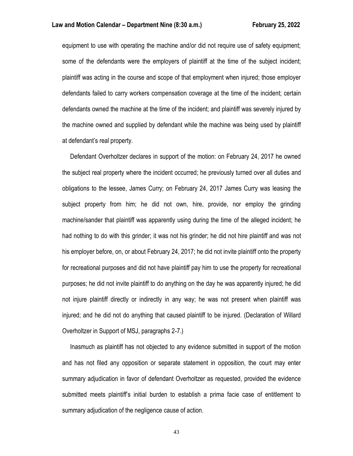equipment to use with operating the machine and/or did not require use of safety equipment; some of the defendants were the employers of plaintiff at the time of the subject incident; plaintiff was acting in the course and scope of that employment when injured; those employer defendants failed to carry workers compensation coverage at the time of the incident; certain defendants owned the machine at the time of the incident; and plaintiff was severely injured by the machine owned and supplied by defendant while the machine was being used by plaintiff at defendant's real property.

 Defendant Overholtzer declares in support of the motion: on February 24, 2017 he owned the subject real property where the incident occurred; he previously turned over all duties and obligations to the lessee, James Curry; on February 24, 2017 James Curry was leasing the subject property from him; he did not own, hire, provide, nor employ the grinding machine/sander that plaintiff was apparently using during the time of the alleged incident; he had nothing to do with this grinder; it was not his grinder; he did not hire plaintiff and was not his employer before, on, or about February 24, 2017; he did not invite plaintiff onto the property for recreational purposes and did not have plaintiff pay him to use the property for recreational purposes; he did not invite plaintiff to do anything on the day he was apparently injured; he did not injure plaintiff directly or indirectly in any way; he was not present when plaintiff was injured; and he did not do anything that caused plaintiff to be injured. (Declaration of Willard Overholtzer in Support of MSJ, paragraphs 2-7.)

 Inasmuch as plaintiff has not objected to any evidence submitted in support of the motion and has not filed any opposition or separate statement in opposition, the court may enter summary adjudication in favor of defendant Overholtzer as requested, provided the evidence submitted meets plaintiff's initial burden to establish a prima facie case of entitlement to summary adjudication of the negligence cause of action.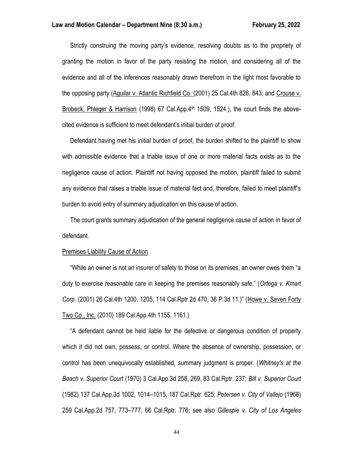Strictly construing the moving party's evidence, resolving doubts as to the propriety of granting the motion in favor of the party resisting the motion, and considering all of the evidence and all of the inferences reasonably drawn therefrom in the light most favorable to the opposing party (Aguilar v. Atlantic Richfield Co. (2001) 25 Cal.4th 826, 843; and Crouse v. Brobeck, Phleger & Harrison (1998) 67 Cal.App. $4<sup>th</sup>$  1509, 1524.), the court finds the abovecited evidence is sufficient to meet defendant's initial burden of proof.

 Defendant having met his initial burden of proof, the burden shifted to the plaintiff to show with admissible evidence that a triable issue of one or more material facts exists as to the negligence cause of action. Plaintiff not having opposed the motion, plaintiff failed to submit any evidence that raises a triable issue of material fact and, therefore, failed to meet plaintiff's burden to avoid entry of summary adjudication on this cause of action.

 The court grants summary adjudication of the general negligence cause of action in favor of defendant.

## Premises Liability Cause of Action

 "While an owner is not an insurer of safety to those on its premises, an owner owes them "a duty to exercise reasonable care in keeping the premises reasonably safe." (*Ortega v. Kmart Corp.* (2001) 26 Cal.4th 1200, 1205, 114 Cal.Rptr.2d 470, 36 P.3d 11.)" (Howe v. Seven Forty Two Co., Inc. (2010) 189 Cal.App.4th 1155, 1161.)

 "A defendant cannot be held liable for the defective or dangerous condition of property which it did not own, possess, or control. Where the absence of ownership, possession, or control has been unequivocally established, summary judgment is proper. (*Whitney's at the Beach v. Superior Court* (1970) 3 Cal.App.3d 258, 269, 83 Cal.Rptr. 237; *Bill v. Superior Court* (1982) 137 Cal.App.3d 1002, 1014–1015, 187 Cal.Rptr. 625; *Petersen v. City of Vallejo* (1968) 259 Cal.App.2d 757, 773–777, 66 Cal.Rptr. 776; see also *Gillespie v. City of Los Angeles*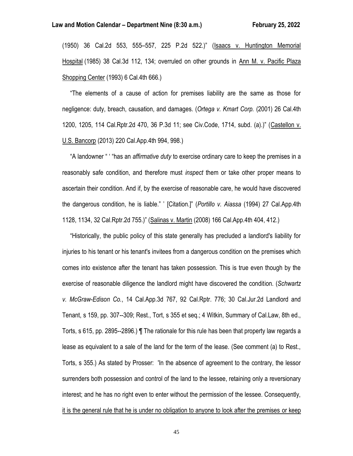(1950) 36 Cal.2d 553, 555–557, 225 P.2d 522.)" (Isaacs v. Huntington Memorial Hospital (1985) 38 Cal.3d 112, 134; overruled on other grounds in Ann M. v. Pacific Plaza Shopping Center (1993) 6 Cal.4th 666.)

 "The elements of a cause of action for premises liability are the same as those for negligence: duty, breach, causation, and damages. (*Ortega v. Kmart Corp.* (2001) 26 Cal.4th 1200, 1205, 114 Cal.Rptr.2d 470, 36 P.3d 11; see Civ.Code, 1714, subd. (a).)" (Castellon v. U.S. Bancorp (2013) 220 Cal.App.4th 994, 998.)

 "A landowner " ' "has an *affirmative duty* to exercise ordinary care to keep the premises in a reasonably safe condition, and therefore must *inspect* them or take other proper means to ascertain their condition. And if, by the exercise of reasonable care, he would have discovered the dangerous condition, he is liable." ' [Citation.]" (*Portillo v. Aiassa* (1994) 27 Cal.App.4th 1128, 1134, 32 Cal.Rptr.2d 755.)" (Salinas v. Martin (2008) 166 Cal.App.4th 404, 412.)

 "Historically, the public policy of this state generally has precluded a landlord's liability for injuries to his tenant or his tenant's invitees from a dangerous condition on the premises which comes into existence after the tenant has taken possession. This is true even though by the exercise of reasonable diligence the landlord might have discovered the condition. (*Schwartz v. McGraw-Edison Co.*, 14 Cal.App.3d 767, 92 Cal.Rptr. 776; 30 Cal.Jur.2d Landlord and Tenant, s 159, pp. 307--309; Rest., Tort, s 355 et seq.; 4 Witkin, Summary of Cal.Law, 8th ed., Torts, s 615, pp. 2895--2896.) ¶ The rationale for this rule has been that property law regards a lease as equivalent to a sale of the land for the term of the lease. (See comment (a) to Rest., Torts, s 355.) As stated by Prosser: 'In the absence of agreement to the contrary, the lessor surrenders both possession and control of the land to the lessee, retaining only a reversionary interest; and he has no right even to enter without the permission of the lessee. Consequently, it is the general rule that he is under no obligation to anyone to look after the premises or keep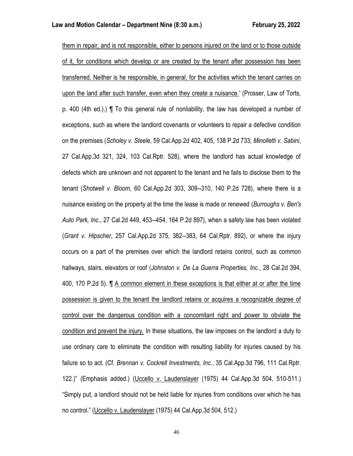them in repair, and is not responsible, either to persons injured on the land or to those outside of it, for conditions which develop or are created by the tenant after possession has been transferred. Neither is he responsible, in general, for the activities which the tenant carries on upon the land after such transfer, even when they create a nuisance.' (Prosser, Law of Torts, p. 400 (4th ed.).) ¶ To this general rule of nonliability, the law has developed a number of exceptions, such as where the landlord covenants or volunteers to repair a defective condition on the premises (*Scholey v. Steele*, 59 Cal.App.2d 402, 405, 138 P.2d 733; *Minolletti v. Sabini*, 27 Cal.App.3d 321, 324, 103 Cal.Rptr. 528), where the landlord has actual knowledge of defects which are unknown and not apparent to the tenant and he fails to disclose them to the tenant (*Shotwell v. Bloom*, 60 Cal.App.2d 303, 309--310, 140 P.2d 728), where there is a nuisance existing on the property at the time the lease is made or renewed (*Burroughs v. Ben's Auto Park, Inc.*, 27 Cal.2d 449, 453--454, 164 P.2d 897), when a safety law has been violated (*Grant v. Hipscher*, 257 Cal.App.2d 375, 382--383, 64 Cal.Rptr. 892), or where the injury occurs on a part of the premises over which the landlord retains control, such as common hallways, stairs, elevators or roof (*Johnston v. De La Guerra Properties, Inc.*, 28 Cal.2d 394, 400, 170 P.2d 5). ¶ A common element in these exceptions is that either at or after the time possession is given to the tenant the landlord retains or acquires a recognizable degree of control over the dangerous condition with a concomitant right and power to obviate the condition and prevent the injury. In these situations, the law imposes on the landlord a duty to use ordinary care to eliminate the condition with resulting liability for injuries caused by his failure so to act. (Cf. *Brennan v. Cockrell Investments, Inc.*, 35 Cal.App.3d 796, 111 Cal.Rptr. 122.)" (Emphasis added.) (Uccello v. Laudenslayer (1975) 44 Cal.App.3d 504, 510-511.) "Simply put, a landlord should not be held liable for injuries from conditions over which he has no control." (Uccello v. Laudenslayer (1975) 44 Cal.App.3d 504, 512.)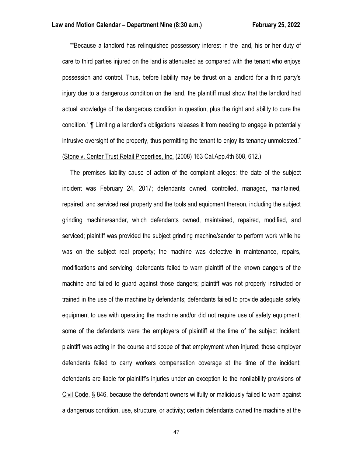""Because a landlord has relinquished possessory interest in the land, his or her duty of care to third parties injured on the land is attenuated as compared with the tenant who enjoys possession and control. Thus, before liability may be thrust on a landlord for a third party's injury due to a dangerous condition on the land, the plaintiff must show that the landlord had actual knowledge of the dangerous condition in question, plus the right and ability to cure the condition." ¶ Limiting a landlord's obligations releases it from needing to engage in potentially intrusive oversight of the property, thus permitting the tenant to enjoy its tenancy unmolested." (Stone v. Center Trust Retail Properties, Inc. (2008) 163 Cal.App.4th 608, 612.)

 The premises liability cause of action of the complaint alleges: the date of the subject incident was February 24, 2017; defendants owned, controlled, managed, maintained, repaired, and serviced real property and the tools and equipment thereon, including the subject grinding machine/sander, which defendants owned, maintained, repaired, modified, and serviced; plaintiff was provided the subject grinding machine/sander to perform work while he was on the subject real property; the machine was defective in maintenance, repairs, modifications and servicing; defendants failed to warn plaintiff of the known dangers of the machine and failed to guard against those dangers; plaintiff was not properly instructed or trained in the use of the machine by defendants; defendants failed to provide adequate safety equipment to use with operating the machine and/or did not require use of safety equipment; some of the defendants were the employers of plaintiff at the time of the subject incident; plaintiff was acting in the course and scope of that employment when injured; those employer defendants failed to carry workers compensation coverage at the time of the incident; defendants are liable for plaintiff's injuries under an exception to the nonliability provisions of Civil Code, § 846, because the defendant owners willfully or maliciously failed to warn against a dangerous condition, use, structure, or activity; certain defendants owned the machine at the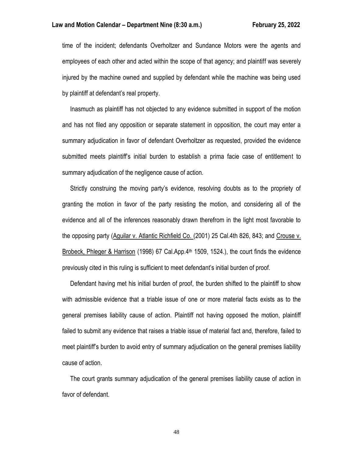time of the incident; defendants Overholtzer and Sundance Motors were the agents and employees of each other and acted within the scope of that agency; and plaintiff was severely injured by the machine owned and supplied by defendant while the machine was being used by plaintiff at defendant's real property.

 Inasmuch as plaintiff has not objected to any evidence submitted in support of the motion and has not filed any opposition or separate statement in opposition, the court may enter a summary adjudication in favor of defendant Overholtzer as requested, provided the evidence submitted meets plaintiff's initial burden to establish a prima facie case of entitlement to summary adjudication of the negligence cause of action.

 Strictly construing the moving party's evidence, resolving doubts as to the propriety of granting the motion in favor of the party resisting the motion, and considering all of the evidence and all of the inferences reasonably drawn therefrom in the light most favorable to the opposing party (Aguilar v. Atlantic Richfield Co. (2001) 25 Cal.4th 826, 843; and Crouse v. Brobeck, Phleger & Harrison (1998) 67 Cal.App.4<sup>th</sup> 1509, 1524.), the court finds the evidence previously cited in this ruling is sufficient to meet defendant's initial burden of proof.

 Defendant having met his initial burden of proof, the burden shifted to the plaintiff to show with admissible evidence that a triable issue of one or more material facts exists as to the general premises liability cause of action. Plaintiff not having opposed the motion, plaintiff failed to submit any evidence that raises a triable issue of material fact and, therefore, failed to meet plaintiff's burden to avoid entry of summary adjudication on the general premises liability cause of action.

 The court grants summary adjudication of the general premises liability cause of action in favor of defendant.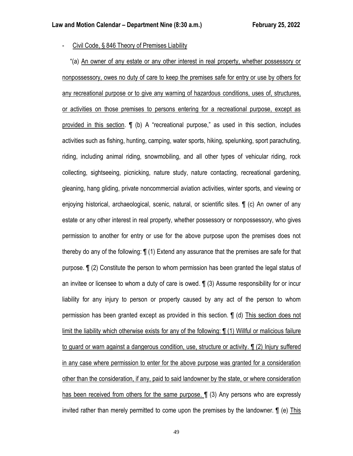- Civil Code, § 846 Theory of Premises Liability

 "(a) An owner of any estate or any other interest in real property, whether possessory or nonpossessory, owes no duty of care to keep the premises safe for entry or use by others for any recreational purpose or to give any warning of hazardous conditions, uses of, structures, or activities on those premises to persons entering for a recreational purpose, except as provided in this section. ¶ (b) A "recreational purpose," as used in this section, includes activities such as fishing, hunting, camping, water sports, hiking, spelunking, sport parachuting, riding, including animal riding, snowmobiling, and all other types of vehicular riding, rock collecting, sightseeing, picnicking, nature study, nature contacting, recreational gardening, gleaning, hang gliding, private noncommercial aviation activities, winter sports, and viewing or enjoying historical, archaeological, scenic, natural, or scientific sites. ¶ (c) An owner of any estate or any other interest in real property, whether possessory or nonpossessory, who gives permission to another for entry or use for the above purpose upon the premises does not thereby do any of the following: ¶ (1) Extend any assurance that the premises are safe for that purpose. ¶ (2) Constitute the person to whom permission has been granted the legal status of an invitee or licensee to whom a duty of care is owed. ¶ (3) Assume responsibility for or incur liability for any injury to person or property caused by any act of the person to whom permission has been granted except as provided in this section. ¶ (d) This section does not limit the liability which otherwise exists for any of the following: ¶ (1) Willful or malicious failure to guard or warn against a dangerous condition, use, structure or activity. ¶ (2) Injury suffered in any case where permission to enter for the above purpose was granted for a consideration other than the consideration, if any, paid to said landowner by the state, or where consideration has been received from others for the same purpose. **[1** (3) Any persons who are expressly invited rather than merely permitted to come upon the premises by the landowner. ¶ (e) This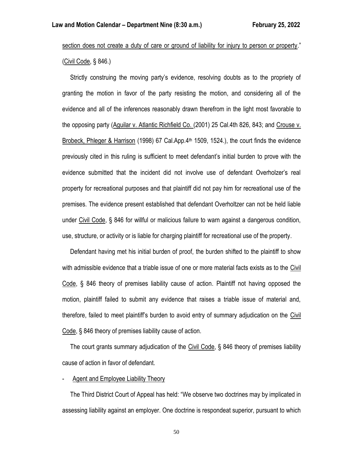section does not create a duty of care or ground of liability for injury to person or property." (Civil Code, § 846.)

 Strictly construing the moving party's evidence, resolving doubts as to the propriety of granting the motion in favor of the party resisting the motion, and considering all of the evidence and all of the inferences reasonably drawn therefrom in the light most favorable to the opposing party (Aguilar v. Atlantic Richfield Co. (2001) 25 Cal.4th 826, 843; and Crouse v. Brobeck, Phleger & Harrison (1998) 67 Cal.App.4<sup>th</sup> 1509, 1524.), the court finds the evidence previously cited in this ruling is sufficient to meet defendant's initial burden to prove with the evidence submitted that the incident did not involve use of defendant Overholzer's real property for recreational purposes and that plaintiff did not pay him for recreational use of the premises. The evidence present established that defendant Overholtzer can not be held liable under Civil Code, § 846 for willful or malicious failure to warn against a dangerous condition, use, structure, or activity or is liable for charging plaintiff for recreational use of the property.

 Defendant having met his initial burden of proof, the burden shifted to the plaintiff to show with admissible evidence that a triable issue of one or more material facts exists as to the Civil Code, § 846 theory of premises liability cause of action. Plaintiff not having opposed the motion, plaintiff failed to submit any evidence that raises a triable issue of material and, therefore, failed to meet plaintiff's burden to avoid entry of summary adjudication on the Civil Code, § 846 theory of premises liability cause of action.

 The court grants summary adjudication of the Civil Code, § 846 theory of premises liability cause of action in favor of defendant.

## Agent and Employee Liability Theory

 The Third District Court of Appeal has held: "We observe two doctrines may by implicated in assessing liability against an employer. One doctrine is respondeat superior, pursuant to which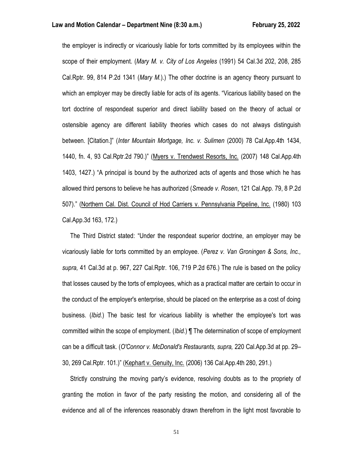the employer is indirectly or vicariously liable for torts committed by its employees within the scope of their employment. (*Mary M. v. City of Los Angeles* (1991) 54 Cal.3d 202, 208, 285 Cal.Rptr. 99, 814 P.2d 1341 (*Mary M.*).) The other doctrine is an agency theory pursuant to which an employer may be directly liable for acts of its agents. "Vicarious liability based on the tort doctrine of respondeat superior and direct liability based on the theory of actual or ostensible agency are different liability theories which cases do not always distinguish between. [Citation.]" (*Inter Mountain Mortgage, Inc. v. Sulimen* (2000) 78 Cal.App.4th 1434, 1440, fn. 4, 93 Cal.Rptr.2d 790.)" (Myers v. Trendwest Resorts, Inc. (2007) 148 Cal.App.4th 1403, 1427.) "A principal is bound by the authorized acts of agents and those which he has allowed third persons to believe he has authorized (*Smeade v. Rosen*, 121 Cal.App. 79, 8 P.2d 507)." (Northern Cal. Dist. Council of Hod Carriers v. Pennsylvania Pipeline, Inc. (1980) 103 Cal.App.3d 163, 172.)

 The Third District stated: "Under the respondeat superior doctrine, an employer may be vicariously liable for torts committed by an employee. (*Perez v. Van Groningen & Sons, Inc., supra,* 41 Cal.3d at p. 967, 227 Cal.Rptr. 106, 719 P.2d 676.) The rule is based on the policy that losses caused by the torts of employees, which as a practical matter are certain to occur in the conduct of the employer's enterprise, should be placed on the enterprise as a cost of doing business. (*Ibid.*) The basic test for vicarious liability is whether the employee's tort was committed within the scope of employment. (*Ibid.*) ¶ The determination of scope of employment can be a difficult task. (*O'Connor v. McDonald's Restaurants, supra,* 220 Cal.App.3d at pp. 29– 30, 269 Cal.Rptr. 101.)" (Kephart v. Genuity, Inc. (2006) 136 Cal.App.4th 280, 291.)

 Strictly construing the moving party's evidence, resolving doubts as to the propriety of granting the motion in favor of the party resisting the motion, and considering all of the evidence and all of the inferences reasonably drawn therefrom in the light most favorable to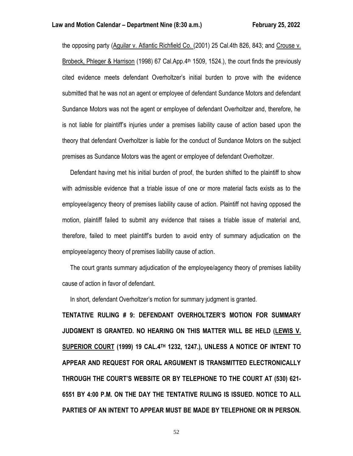the opposing party (Aguilar v. Atlantic Richfield Co. (2001) 25 Cal.4th 826, 843; and Crouse v. Brobeck, Phleger & Harrison (1998) 67 Cal.App.4<sup>th</sup> 1509, 1524.), the court finds the previously cited evidence meets defendant Overholtzer's initial burden to prove with the evidence submitted that he was not an agent or employee of defendant Sundance Motors and defendant Sundance Motors was not the agent or employee of defendant Overholtzer and, therefore, he is not liable for plaintiff's injuries under a premises liability cause of action based upon the theory that defendant Overholtzer is liable for the conduct of Sundance Motors on the subject premises as Sundance Motors was the agent or employee of defendant Overholtzer.

 Defendant having met his initial burden of proof, the burden shifted to the plaintiff to show with admissible evidence that a triable issue of one or more material facts exists as to the employee/agency theory of premises liability cause of action. Plaintiff not having opposed the motion, plaintiff failed to submit any evidence that raises a triable issue of material and, therefore, failed to meet plaintiff's burden to avoid entry of summary adjudication on the employee/agency theory of premises liability cause of action.

 The court grants summary adjudication of the employee/agency theory of premises liability cause of action in favor of defendant.

In short, defendant Overholtzer's motion for summary judgment is granted.

**TENTATIVE RULING # 9: DEFENDANT OVERHOLTZER'S MOTION FOR SUMMARY JUDGMENT IS GRANTED. NO HEARING ON THIS MATTER WILL BE HELD (LEWIS V. SUPERIOR COURT (1999) 19 CAL.4TH 1232, 1247.), UNLESS A NOTICE OF INTENT TO APPEAR AND REQUEST FOR ORAL ARGUMENT IS TRANSMITTED ELECTRONICALLY THROUGH THE COURT'S WEBSITE OR BY TELEPHONE TO THE COURT AT (530) 621- 6551 BY 4:00 P.M. ON THE DAY THE TENTATIVE RULING IS ISSUED. NOTICE TO ALL PARTIES OF AN INTENT TO APPEAR MUST BE MADE BY TELEPHONE OR IN PERSON.**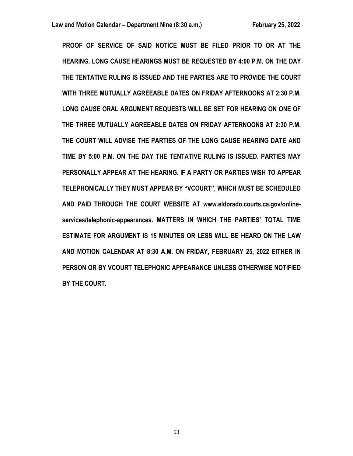**PROOF OF SERVICE OF SAID NOTICE MUST BE FILED PRIOR TO OR AT THE HEARING. LONG CAUSE HEARINGS MUST BE REQUESTED BY 4:00 P.M. ON THE DAY THE TENTATIVE RULING IS ISSUED AND THE PARTIES ARE TO PROVIDE THE COURT WITH THREE MUTUALLY AGREEABLE DATES ON FRIDAY AFTERNOONS AT 2:30 P.M. LONG CAUSE ORAL ARGUMENT REQUESTS WILL BE SET FOR HEARING ON ONE OF THE THREE MUTUALLY AGREEABLE DATES ON FRIDAY AFTERNOONS AT 2:30 P.M. THE COURT WILL ADVISE THE PARTIES OF THE LONG CAUSE HEARING DATE AND TIME BY 5:00 P.M. ON THE DAY THE TENTATIVE RULING IS ISSUED. PARTIES MAY PERSONALLY APPEAR AT THE HEARING. IF A PARTY OR PARTIES WISH TO APPEAR TELEPHONICALLY THEY MUST APPEAR BY "VCOURT", WHICH MUST BE SCHEDULED AND PAID THROUGH THE COURT WEBSITE AT www.eldorado.courts.ca.gov/onlineservices/telephonic-appearances. MATTERS IN WHICH THE PARTIES' TOTAL TIME ESTIMATE FOR ARGUMENT IS 15 MINUTES OR LESS WILL BE HEARD ON THE LAW AND MOTION CALENDAR AT 8:30 A.M. ON FRIDAY, FEBRUARY 25, 2022 EITHER IN PERSON OR BY VCOURT TELEPHONIC APPEARANCE UNLESS OTHERWISE NOTIFIED BY THE COURT.**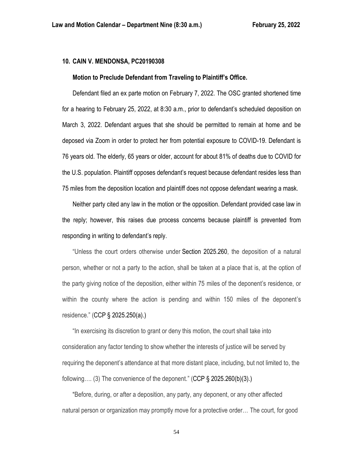## **10. CAIN V. MENDONSA, PC20190308**

#### **Motion to Preclude Defendant from Traveling to Plaintiff's Office.**

Defendant filed an ex parte motion on February 7, 2022. The OSC granted shortened time for a hearing to February 25, 2022, at 8:30 a.m., prior to defendant's scheduled deposition on March 3, 2022. Defendant argues that she should be permitted to remain at home and be deposed via Zoom in order to protect her from potential exposure to COVID-19. Defendant is 76 years old. The elderly, 65 years or older, account for about 81% of deaths due to COVID for the U.S. population. Plaintiff opposes defendant's request because defendant resides less than 75 miles from the deposition location and plaintiff does not oppose defendant wearing a mask.

Neither party cited any law in the motion or the opposition. Defendant provided case law in the reply; however, this raises due process concerns because plaintiff is prevented from responding in writing to defendant's reply.

"Unless the court orders otherwise under Section [2025.260,](https://1.next.westlaw.com/Link/Document/FullText?findType=L&pubNum=1000201&cite=CACPS2025.260&originatingDoc=N9073ABC0312D11DA8093EEF8E1C23116&refType=LQ&originationContext=document&transitionType=DocumentItem&ppcid=98c771d9c68c46aea6cef4b5aeda7e86&contextData=(sc.DocLink)) the deposition of a natural person, whether or not a party to the action, shall be taken at a place that is, at the option of the party giving notice of the deposition, either within 75 miles of the deponent's residence, or within the county where the action is pending and within 150 miles of the deponent's residence." (CCP § 2025.250(a).)

"In exercising its discretion to grant or deny this motion, the court shall take into consideration any factor tending to show whether the interests of justice will be served by requiring the deponent's attendance at that more distant place, including, but not limited to, the following.... (3) The convenience of the deponent." (CCP  $\S$  2025.260(b)(3).)

"Before, during, or after a deposition, any party, any deponent, or any other affected natural person or organization may promptly move for a protective order… The court, for good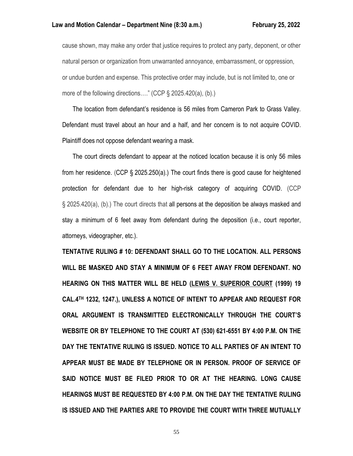cause shown, may make any order that justice requires to protect any party, deponent, or other natural person or organization from unwarranted annoyance, embarrassment, or oppression, or undue burden and expense. This protective order may include, but is not limited to, one or more of the following directions...." (CCP § 2025.420(a), (b).)

The location from defendant's residence is 56 miles from Cameron Park to Grass Valley. Defendant must travel about an hour and a half, and her concern is to not acquire COVID. Plaintiff does not oppose defendant wearing a mask.

The court directs defendant to appear at the noticed location because it is only 56 miles from her residence. (CCP § 2025.250(a).) The court finds there is good cause for heightened protection for defendant due to her high-risk category of acquiring COVID. (CCP § 2025.420(a), (b).) The court directs that all persons at the deposition be always masked and stay a minimum of 6 feet away from defendant during the deposition (i.e., court reporter, attorneys, videographer, etc.).

**TENTATIVE RULING # 10: DEFENDANT SHALL GO TO THE LOCATION. ALL PERSONS WILL BE MASKED AND STAY A MINIMUM OF 6 FEET AWAY FROM DEFENDANT. NO HEARING ON THIS MATTER WILL BE HELD (LEWIS V. SUPERIOR COURT (1999) 19 CAL.4TH 1232, 1247.), UNLESS A NOTICE OF INTENT TO APPEAR AND REQUEST FOR ORAL ARGUMENT IS TRANSMITTED ELECTRONICALLY THROUGH THE COURT'S WEBSITE OR BY TELEPHONE TO THE COURT AT (530) 621-6551 BY 4:00 P.M. ON THE DAY THE TENTATIVE RULING IS ISSUED. NOTICE TO ALL PARTIES OF AN INTENT TO APPEAR MUST BE MADE BY TELEPHONE OR IN PERSON. PROOF OF SERVICE OF SAID NOTICE MUST BE FILED PRIOR TO OR AT THE HEARING. LONG CAUSE HEARINGS MUST BE REQUESTED BY 4:00 P.M. ON THE DAY THE TENTATIVE RULING IS ISSUED AND THE PARTIES ARE TO PROVIDE THE COURT WITH THREE MUTUALLY**